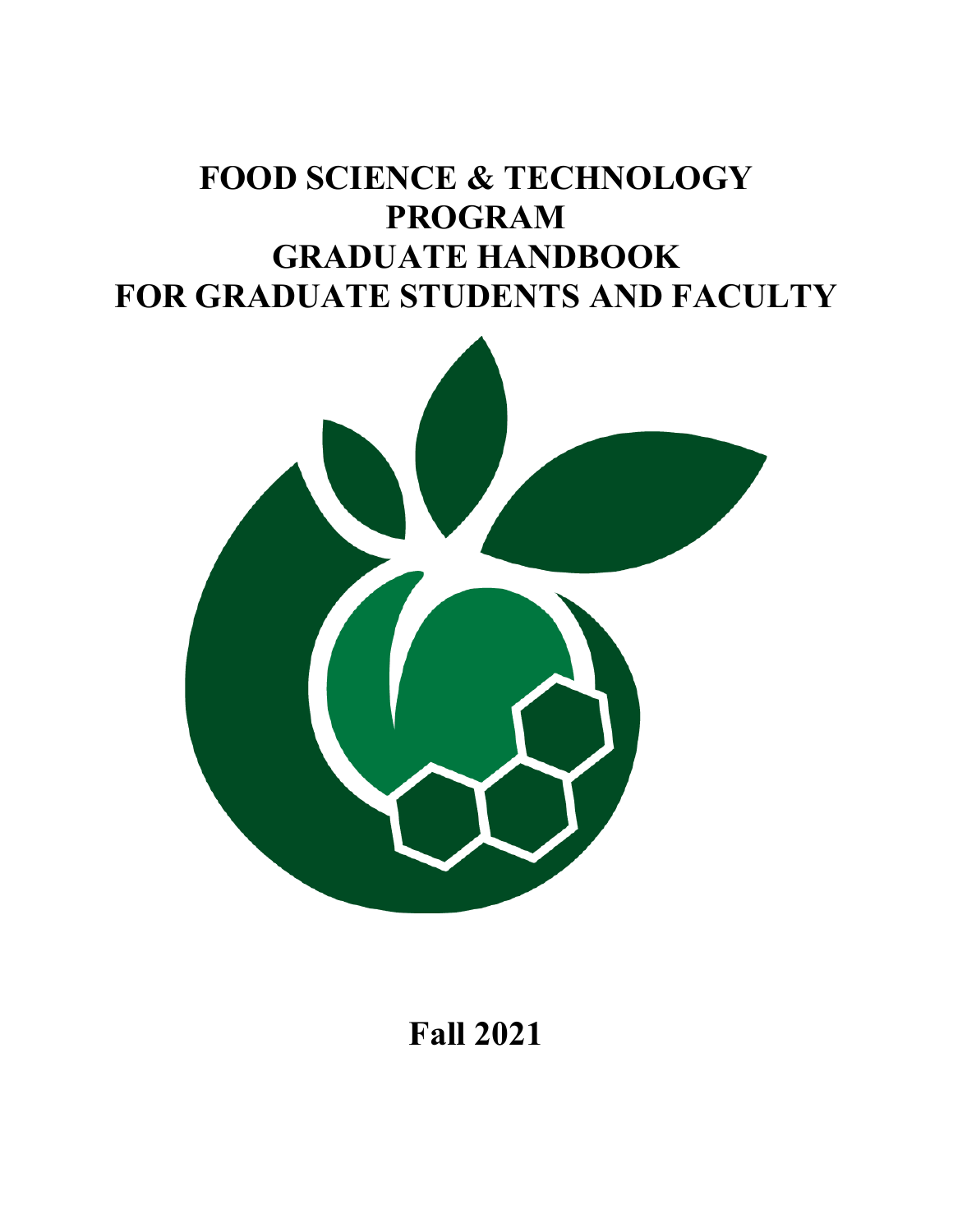# **FOOD SCIENCE & TECHNOLOGY PROGRAM GRADUATE HANDBOOK FOR GRADUATE STUDENTS AND FACULTY**



**Fall 2021**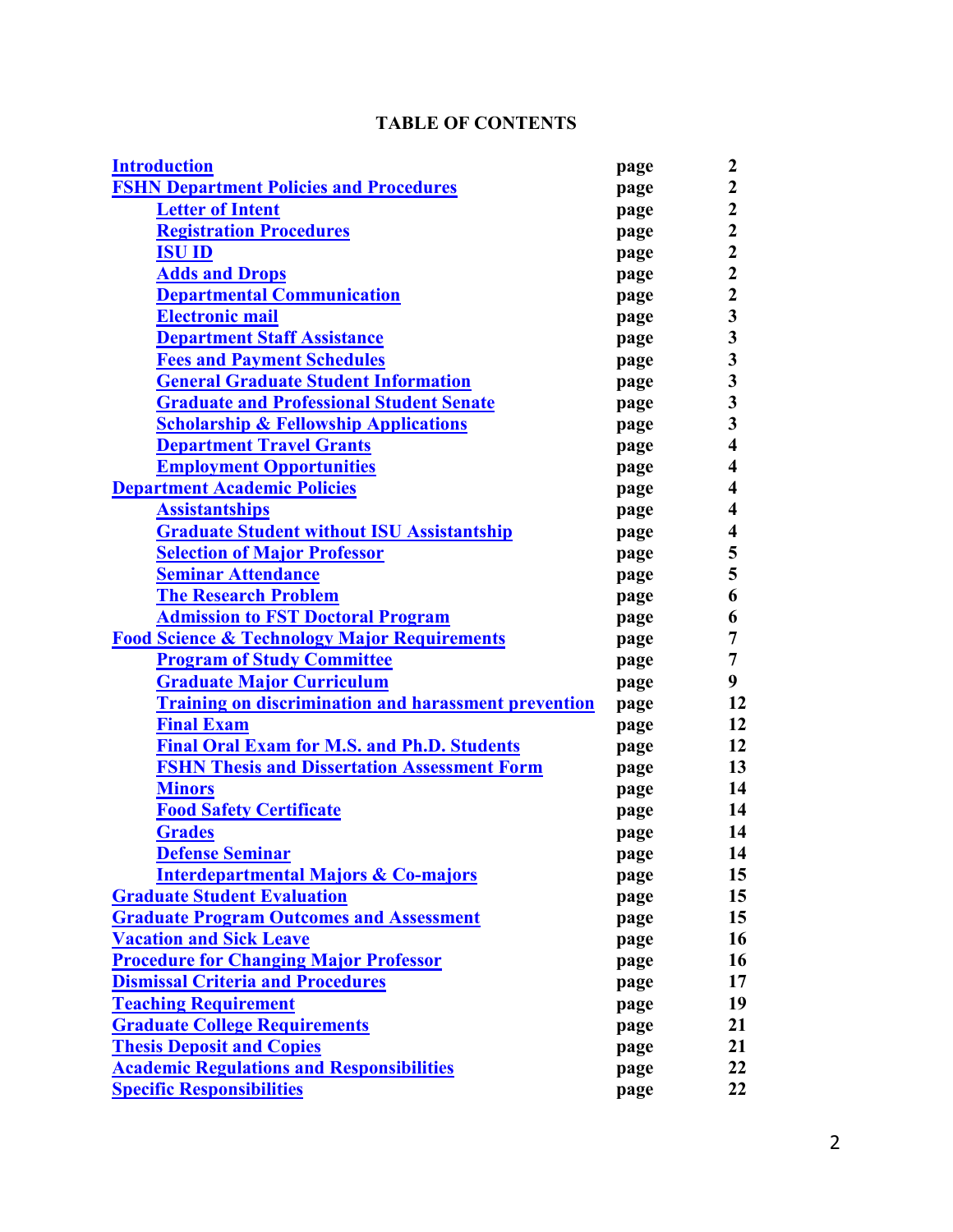## **TABLE OF CONTENTS**

<span id="page-1-0"></span>

| <b>Introduction</b>                                         | page | 2                       |
|-------------------------------------------------------------|------|-------------------------|
| <b>FSHN Department Policies and Procedures</b>              | page | $\boldsymbol{2}$        |
| <u>Letter of Intent</u>                                     | page | $\overline{2}$          |
| <b>Registration Procedures</b>                              | page | $\boldsymbol{2}$        |
| <b>ISU ID</b>                                               | page | $\boldsymbol{2}$        |
| <b>Adds and Drops</b>                                       | page | $\overline{\mathbf{2}}$ |
| <b>Departmental Communication</b>                           | page | $\boldsymbol{2}$        |
| <u>Electronic mail</u>                                      | page | $\overline{\mathbf{3}}$ |
| <b>Department Staff Assistance</b>                          | page | $\overline{\mathbf{3}}$ |
| <b>Fees and Payment Schedules</b>                           | page | $\overline{\mathbf{3}}$ |
| <b>General Graduate Student Information</b>                 | page | $\overline{\mathbf{3}}$ |
| <b>Graduate and Professional Student Senate</b>             | page | $\overline{\mathbf{3}}$ |
| <b>Scholarship &amp; Fellowship Applications</b>            | page | $\overline{\mathbf{3}}$ |
| <b>Department Travel Grants</b>                             | page | $\overline{\mathbf{4}}$ |
| <b>Employment Opportunities</b>                             | page | 4                       |
| <b>Department Academic Policies</b>                         | page | 4                       |
| <b>Assistantships</b>                                       | page | 4                       |
| <b>Graduate Student without ISU Assistantship</b>           | page | $\overline{\mathbf{4}}$ |
| <b>Selection of Major Professor</b>                         | page | 5                       |
| <b>Seminar Attendance</b>                                   | page | 5                       |
| <b>The Research Problem</b>                                 | page | 6                       |
| <b>Admission to FST Doctoral Program</b>                    | page | 6                       |
| <b>Food Science &amp; Technology Major Requirements</b>     | page | 7                       |
| <b>Program of Study Committee</b>                           | page | 7                       |
| <u> Graduate Major Curriculum</u>                           | page | 9                       |
| <b>Training on discrimination and harassment prevention</b> | page | 12                      |
| <b>Final Exam</b>                                           | page | 12                      |
| <b>Final Oral Exam for M.S. and Ph.D. Students</b>          | page | 12                      |
| <b>FSHN Thesis and Dissertation Assessment Form</b>         | page | 13                      |
| <b>Minors</b>                                               | page | 14                      |
| <b>Food Safety Certificate</b>                              | page | 14                      |
| <b>Grades</b>                                               | page | 14                      |
| <b>Defense Seminar</b>                                      | page | 14                      |
| <b>Interdepartmental Majors &amp; Co-majors</b>             | page | 15                      |
| <b>Graduate Student Evaluation</b>                          | page | 15                      |
| <b>Graduate Program Outcomes and Assessment</b>             | page | 15                      |
| <b>Vacation and Sick Leave</b>                              | page | 16                      |
| <b>Procedure for Changing Major Professor</b>               | page | 16                      |
| <b>Dismissal Criteria and Procedures</b>                    | page | 17                      |
| <b>Teaching Requirement</b>                                 | page | 19                      |
| <b>Graduate College Requirements</b>                        | page | 21                      |
| <b>Thesis Deposit and Copies</b>                            | page | 21                      |
| <b>Academic Regulations and Responsibilities</b>            | page | 22                      |
| <b>Specific Responsibilities</b>                            | page | 22                      |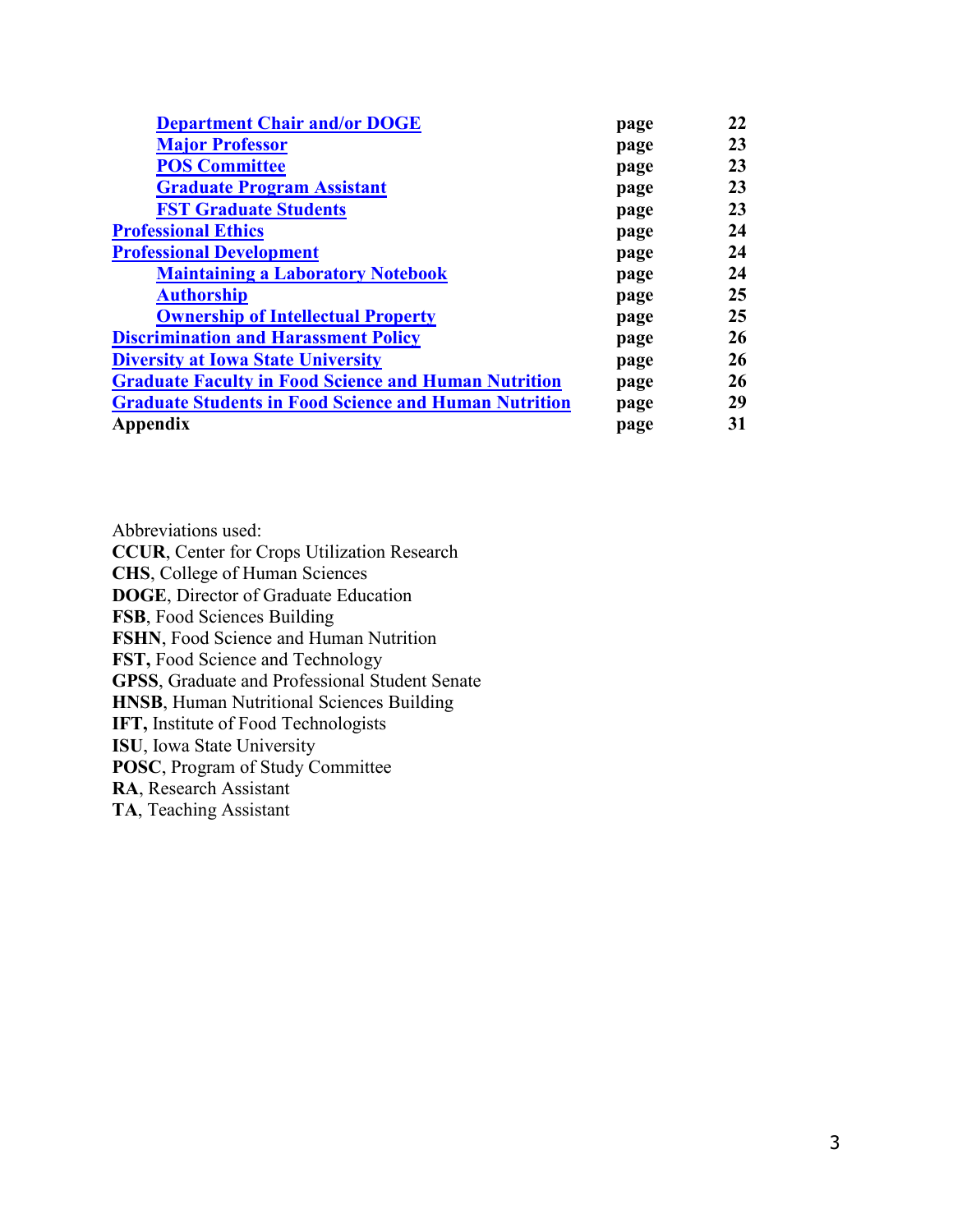| <b>Department Chair and/or DOGE</b>                          | page | 22 |
|--------------------------------------------------------------|------|----|
| <b>Major Professor</b>                                       | page | 23 |
| <b>POS Committee</b>                                         | page | 23 |
| <b>Graduate Program Assistant</b>                            | page | 23 |
| <b>FST Graduate Students</b>                                 | page | 23 |
| <b>Professional Ethics</b>                                   | page | 24 |
| <b>Professional Development</b>                              | page | 24 |
| <b>Maintaining a Laboratory Notebook</b>                     | page | 24 |
| <b>Authorship</b>                                            | page | 25 |
| <b>Ownership of Intellectual Property</b>                    | page | 25 |
| <b>Discrimination and Harassment Policy</b>                  | page | 26 |
| <b>Diversity at Iowa State University</b>                    | page | 26 |
| <b>Graduate Faculty in Food Science and Human Nutrition</b>  | page | 26 |
| <b>Graduate Students in Food Science and Human Nutrition</b> | page | 29 |
| Appendix                                                     | page | 31 |

Abbreviations used:

**CCUR**, Center for Crops Utilization Research **CHS**, College of Human Sciences **DOGE**, Director of Graduate Education **FSB**, Food Sciences Building **FSHN**, Food Science and Human Nutrition **FST,** Food Science and Technology **GPSS**, Graduate and Professional Student Senate **HNSB**, Human Nutritional Sciences Building **IFT,** Institute of Food Technologists **ISU**, Iowa State University

**POSC**, Program of Study Committee

**RA**, Research Assistant

**TA**, Teaching Assistant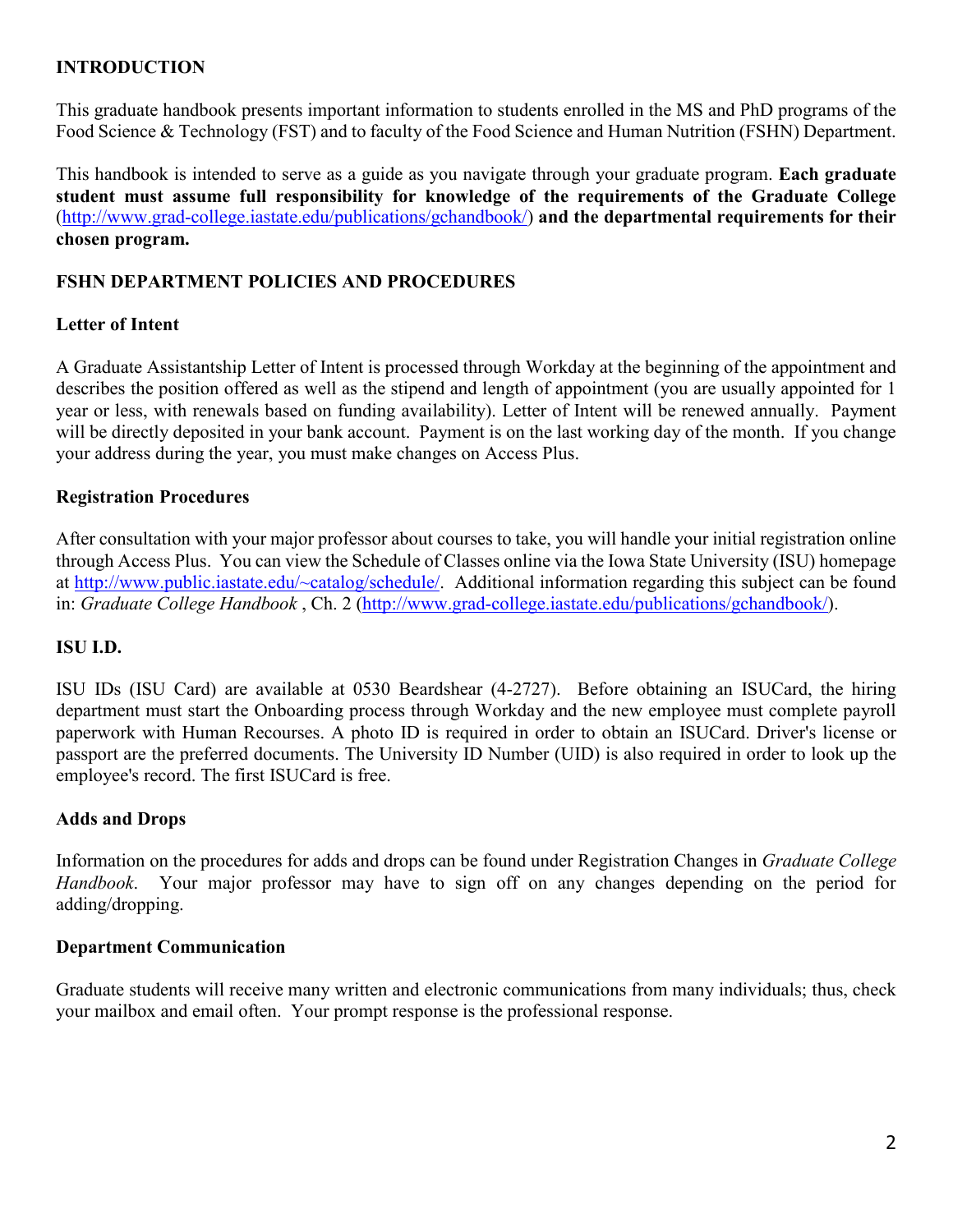## <span id="page-3-0"></span>**INTRODUCTION**

This graduate handbook presents important information to students enrolled in the MS and PhD programs of the Food Science & Technology (FST) and to faculty of the Food Science and Human Nutrition (FSHN) Department.

This handbook is intended to serve as a guide as you navigate through your graduate program. **Each graduate student must assume full responsibility for knowledge of the requirements of the Graduate College** [\(http://www.grad-college.iastate.edu/publications/gchandbook/\)](http://www.grad-college.iastate.edu/publications/gchandbook/) **and the departmental requirements for their chosen program.**

## <span id="page-3-1"></span>**FSHN DEPARTMENT POLICIES AND PROCEDURES**

#### <span id="page-3-2"></span>**Letter of Intent**

A Graduate Assistantship Letter of Intent is processed through Workday at the beginning of the appointment and describes the position offered as well as the stipend and length of appointment (you are usually appointed for 1 year or less, with renewals based on funding availability). Letter of Intent will be renewed annually. Payment will be directly deposited in your bank account. Payment is on the last working day of the month. If you change your address during the year, you must make changes on Access Plus.

#### <span id="page-3-3"></span>**Registration Procedures**

After consultation with your major professor about courses to take, you will handle your initial registration online through Access Plus. You can view the Schedule of Classes online via the Iowa State University (ISU) homepage at [http://www.public.iastate.edu/~catalog/schedule/.](http://www.public.iastate.edu/%7Ecatalog/schedule/) Additional information regarding this subject can be found in: *Graduate College Handbook* , Ch. 2 [\(http://www.grad-college.iastate.edu/publications/gchandbook/\)](http://www.grad-college.iastate.edu/publications/gchandbook/).

#### <span id="page-3-4"></span>**ISU I.D.**

ISU IDs (ISU Card) are available at 0530 Beardshear (4-2727). Before obtaining an ISUCard, the hiring department must start the Onboarding process through Workday and the new employee must complete payroll paperwork with Human Recourses. A photo ID is required in order to obtain an ISUCard. Driver's license or passport are the preferred documents. The University ID Number (UID) is also required in order to look up the employee's record. The first ISUCard is free.

#### <span id="page-3-5"></span>**Adds and Drops**

Information on the procedures for adds and drops can be found under Registration Changes in *Graduate College Handbook*. Your major professor may have to sign off on any changes depending on the period for adding/dropping.

#### <span id="page-3-6"></span>**Department Communication**

<span id="page-3-7"></span>Graduate students will receive many written and electronic communications from many individuals; thus, check your mailbox and email often. Your prompt response is the professional response.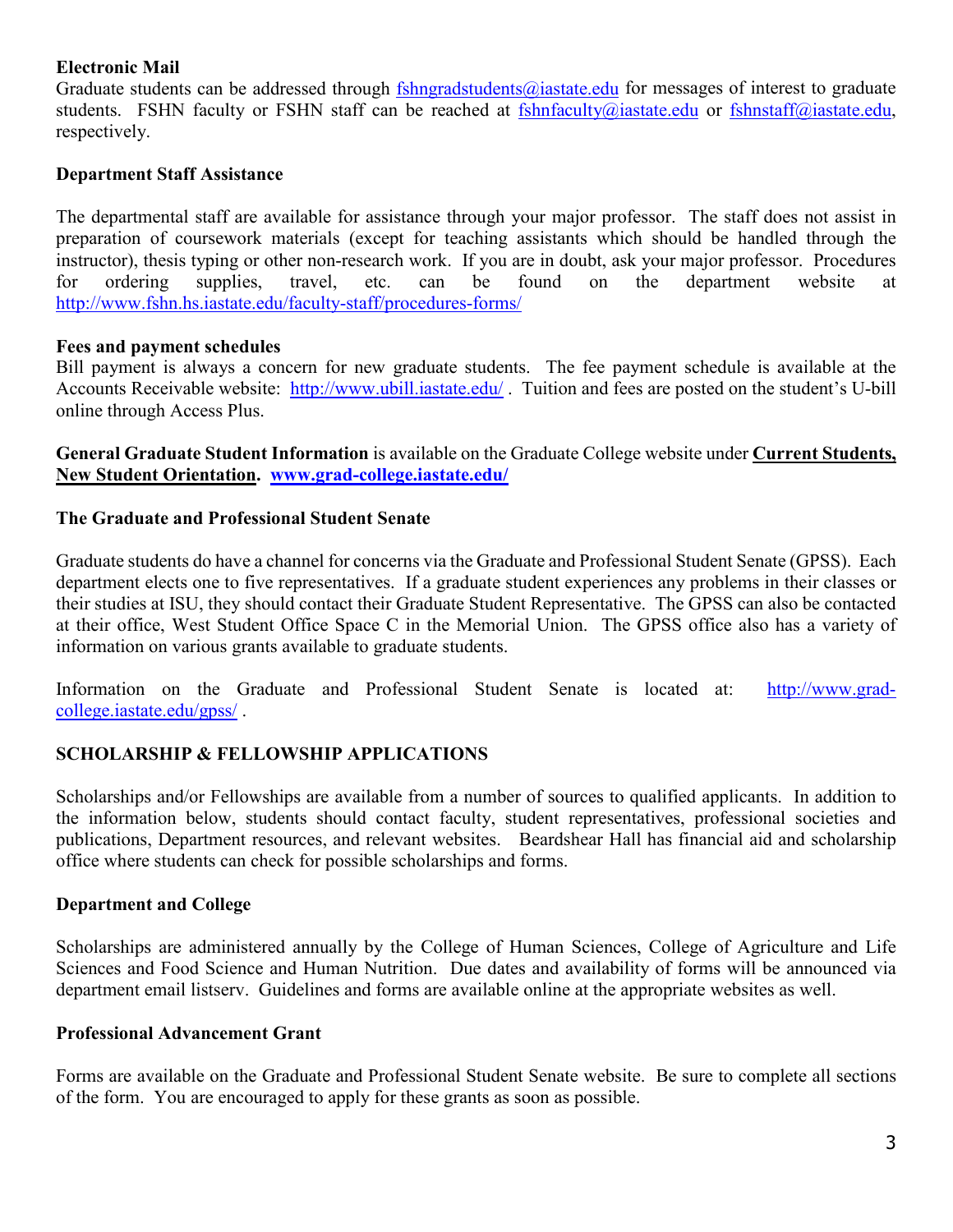#### **Electronic Mail**

Graduate students can be addressed through [fshngradstudents@iastate.edu](mailto:fshngradstudents@iastate.edu) for messages of interest to graduate students. FSHN faculty or FSHN staff can be reached at [fshnfaculty@iastate.edu](mailto:fshnfaculty@iastate.edu) or [fshnstaff@iastate.edu,](mailto:fshnstaff@iastate.edu) respectively.

#### <span id="page-4-0"></span>**Department Staff Assistance**

The departmental staff are available for assistance through your major professor. The staff does not assist in preparation of coursework materials (except for teaching assistants which should be handled through the instructor), thesis typing or other non-research work. If you are in doubt, ask your major professor. Procedures for ordering supplies, travel, etc. can be found on the department website at <http://www.fshn.hs.iastate.edu/faculty-staff/procedures-forms/>

#### <span id="page-4-1"></span>**Fees and payment schedules**

Bill payment is always a concern for new graduate students. The fee payment schedule is available at the Accounts Receivable website: <http://www.ubill.iastate.edu/> . Tuition and fees are posted on the student's U-bill online through Access Plus.

<span id="page-4-2"></span>**General Graduate Student Information** is available on the Graduate College website under **Current Students, New Student Orientation. [www.grad-college.iastate.edu/](http://www.grad-college.iastate.edu/)**

#### <span id="page-4-3"></span>**The Graduate and Professional Student Senate**

Graduate students do have a channel for concerns via the Graduate and Professional Student Senate (GPSS). Each department elects one to five representatives. If a graduate student experiences any problems in their classes or their studies at ISU, they should contact their Graduate Student Representative. The GPSS can also be contacted at their office, West Student Office Space C in the Memorial Union. The GPSS office also has a variety of information on various grants available to graduate students.

Information on the Graduate and Professional Student Senate is located at: [http://www.grad](http://www.grad-college.iastate.edu/gpss/)[college.iastate.edu/gpss/](http://www.grad-college.iastate.edu/gpss/) .

#### <span id="page-4-4"></span>**SCHOLARSHIP & FELLOWSHIP APPLICATIONS**

Scholarships and/or Fellowships are available from a number of sources to qualified applicants. In addition to the information below, students should contact faculty, student representatives, professional societies and publications, Department resources, and relevant websites. Beardshear Hall has financial aid and scholarship office where students can check for possible scholarships and forms.

#### **Department and College**

Scholarships are administered annually by the College of Human Sciences, College of Agriculture and Life Sciences and Food Science and Human Nutrition. Due dates and availability of forms will be announced via department email listserv. Guidelines and forms are available online at the appropriate websites as well.

#### **Professional Advancement Grant**

Forms are available on the Graduate and Professional Student Senate website. Be sure to complete all sections of the form. You are encouraged to apply for these grants as soon as possible.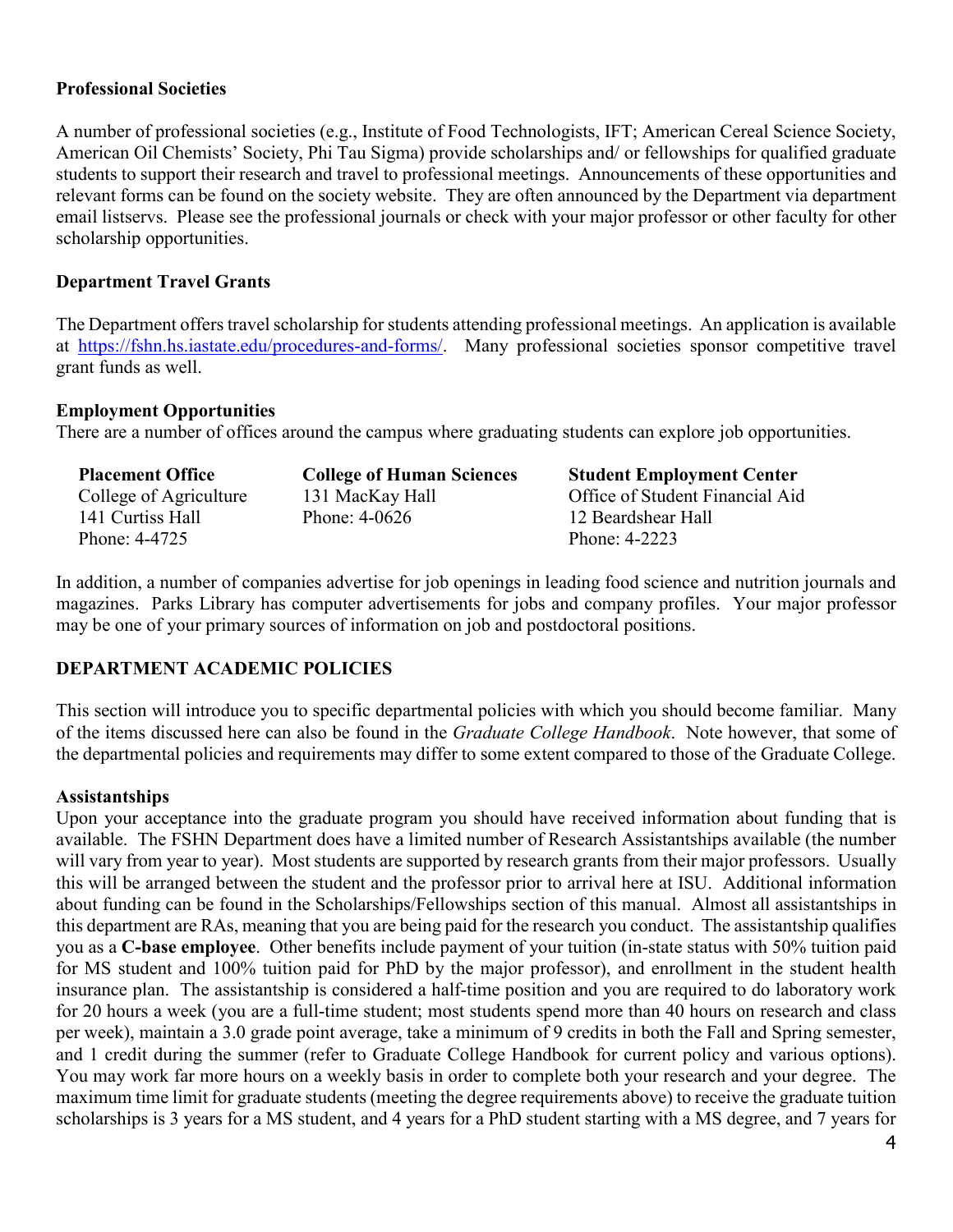#### **Professional Societies**

A number of professional societies (e.g., Institute of Food Technologists, IFT; American Cereal Science Society, American Oil Chemists' Society, Phi Tau Sigma) provide scholarships and/ or fellowships for qualified graduate students to support their research and travel to professional meetings. Announcements of these opportunities and relevant forms can be found on the society website. They are often announced by the Department via department email listservs. Please see the professional journals or check with your major professor or other faculty for other scholarship opportunities.

#### <span id="page-5-0"></span>**Department Travel Grants**

The Department offers travel scholarship for students attending professional meetings. An application is available at [https://fshn.hs.iastate.edu/procedures-and-forms/.](https://fshn.hs.iastate.edu/procedures-and-forms/) Many professional societies sponsor competitive travel grant funds as well.

#### <span id="page-5-1"></span>**Employment Opportunities**

There are a number of offices around the campus where graduating students can explore job opportunities.

| <b>Placement Office</b> | <b>College of Human Sciences</b> | <b>Student Employment Center</b> |
|-------------------------|----------------------------------|----------------------------------|
| College of Agriculture  | 131 MacKay Hall                  | Office of Student Financial Aid  |
| 141 Curtiss Hall        | Phone: $4-0626$                  | 12 Beardshear Hall               |
| Phone: 4-4725           |                                  | Phone: 4-2223                    |

In addition, a number of companies advertise for job openings in leading food science and nutrition journals and magazines. Parks Library has computer advertisements for jobs and company profiles. Your major professor may be one of your primary sources of information on job and postdoctoral positions.

#### <span id="page-5-2"></span>**DEPARTMENT ACADEMIC POLICIES**

This section will introduce you to specific departmental policies with which you should become familiar. Many of the items discussed here can also be found in the *Graduate College Handbook*. Note however, that some of the departmental policies and requirements may differ to some extent compared to those of the Graduate College.

#### <span id="page-5-3"></span>**Assistantships**

Upon your acceptance into the graduate program you should have received information about funding that is available. The FSHN Department does have a limited number of Research Assistantships available (the number will vary from year to year). Most students are supported by research grants from their major professors. Usually this will be arranged between the student and the professor prior to arrival here at ISU. Additional information about funding can be found in the Scholarships/Fellowships section of this manual. Almost all assistantships in this department are RAs, meaning that you are being paid for the research you conduct. The assistantship qualifies you as a **C-base employee**. Other benefits include payment of your tuition (in-state status with 50% tuition paid for MS student and 100% tuition paid for PhD by the major professor), and enrollment in the student health insurance plan. The assistantship is considered a half-time position and you are required to do laboratory work for 20 hours a week (you are a full-time student; most students spend more than 40 hours on research and class per week), maintain a 3.0 grade point average, take a minimum of 9 credits in both the Fall and Spring semester, and 1 credit during the summer (refer to Graduate College Handbook for current policy and various options). You may work far more hours on a weekly basis in order to complete both your research and your degree. The maximum time limit for graduate students (meeting the degree requirements above) to receive the graduate tuition scholarships is 3 years for a MS student, and 4 years for a PhD student starting with a MS degree, and 7 years for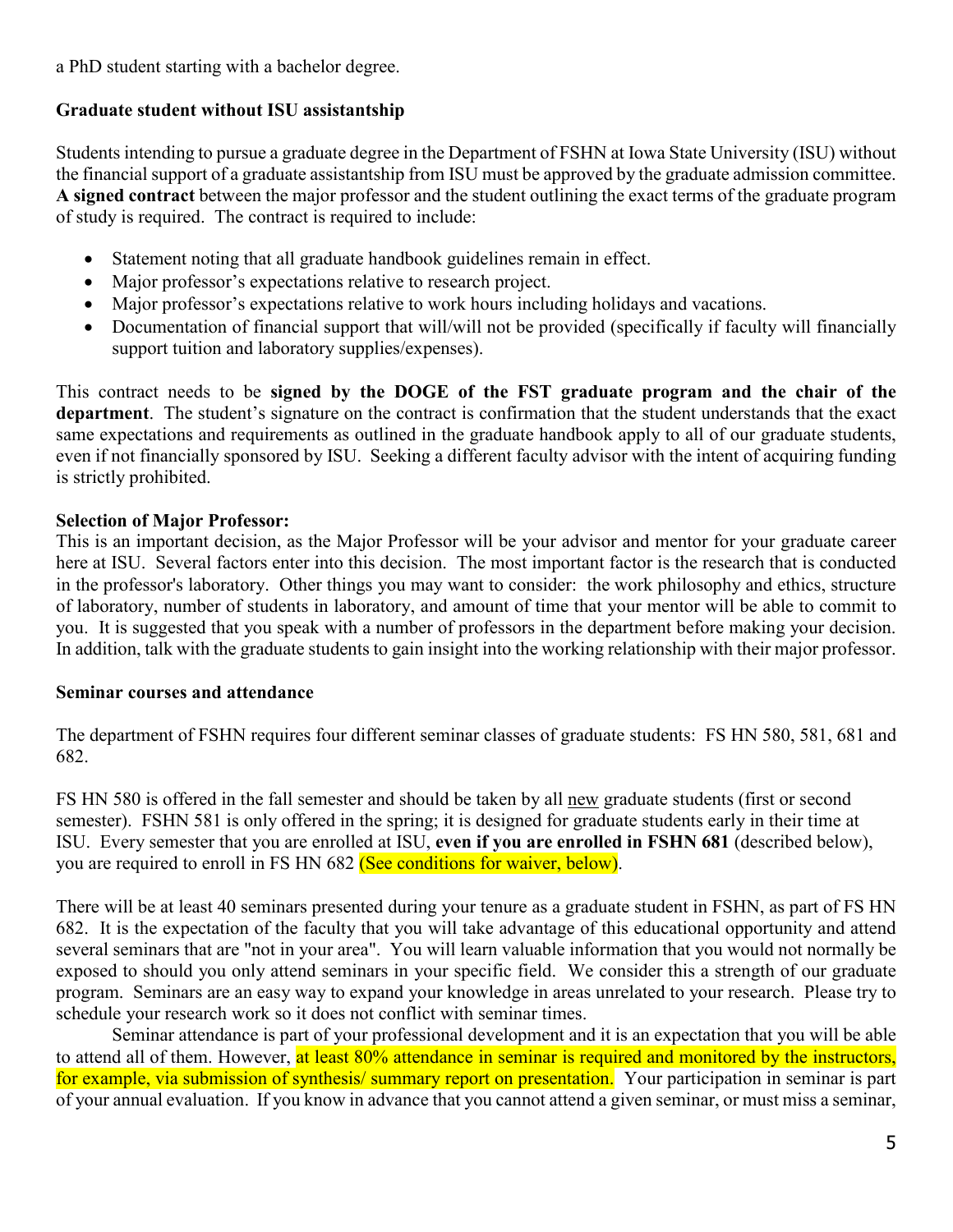a PhD student starting with a bachelor degree.

### <span id="page-6-0"></span>**Graduate student without ISU assistantship**

Students intending to pursue a graduate degree in the Department of FSHN at Iowa State University (ISU) without the financial support of a graduate assistantship from ISU must be approved by the graduate admission committee. **A signed contract** between the major professor and the student outlining the exact terms of the graduate program of study is required. The contract is required to include:

- Statement noting that all graduate handbook guidelines remain in effect.
- Major professor's expectations relative to research project.
- Major professor's expectations relative to work hours including holidays and vacations.
- Documentation of financial support that will/will not be provided (specifically if faculty will financially support tuition and laboratory supplies/expenses).

This contract needs to be **signed by the DOGE of the FST graduate program and the chair of the department**. The student's signature on the contract is confirmation that the student understands that the exact same expectations and requirements as outlined in the graduate handbook apply to all of our graduate students, even if not financially sponsored by ISU. Seeking a different faculty advisor with the intent of acquiring funding is strictly prohibited.

## <span id="page-6-1"></span>**Selection of Major Professor:**

This is an important decision, as the Major Professor will be your advisor and mentor for your graduate career here at ISU. Several factors enter into this decision. The most important factor is the research that is conducted in the professor's laboratory. Other things you may want to consider: the work philosophy and ethics, structure of laboratory, number of students in laboratory, and amount of time that your mentor will be able to commit to you. It is suggested that you speak with a number of professors in the department before making your decision. In addition, talk with the graduate students to gain insight into the working relationship with their major professor.

#### <span id="page-6-2"></span>**Seminar courses and attendance**

The department of FSHN requires four different seminar classes of graduate students: FS HN 580, 581, 681 and 682.

FS HN 580 is offered in the fall semester and should be taken by all new graduate students (first or second semester). FSHN 581 is only offered in the spring; it is designed for graduate students early in their time at ISU. Every semester that you are enrolled at ISU, **even if you are enrolled in FSHN 681** (described below), you are required to enroll in FS HN 682 (See conditions for waiver, below).

There will be at least 40 seminars presented during your tenure as a graduate student in FSHN, as part of FS HN 682. It is the expectation of the faculty that you will take advantage of this educational opportunity and attend several seminars that are "not in your area". You will learn valuable information that you would not normally be exposed to should you only attend seminars in your specific field. We consider this a strength of our graduate program. Seminars are an easy way to expand your knowledge in areas unrelated to your research. Please try to schedule your research work so it does not conflict with seminar times.

Seminar attendance is part of your professional development and it is an expectation that you will be able to attend all of them. However, at least 80% attendance in seminar is required and monitored by the instructors, for example, via submission of synthesis/ summary report on presentation. Your participation in seminar is part of your annual evaluation. If you know in advance that you cannot attend a given seminar, or must miss a seminar,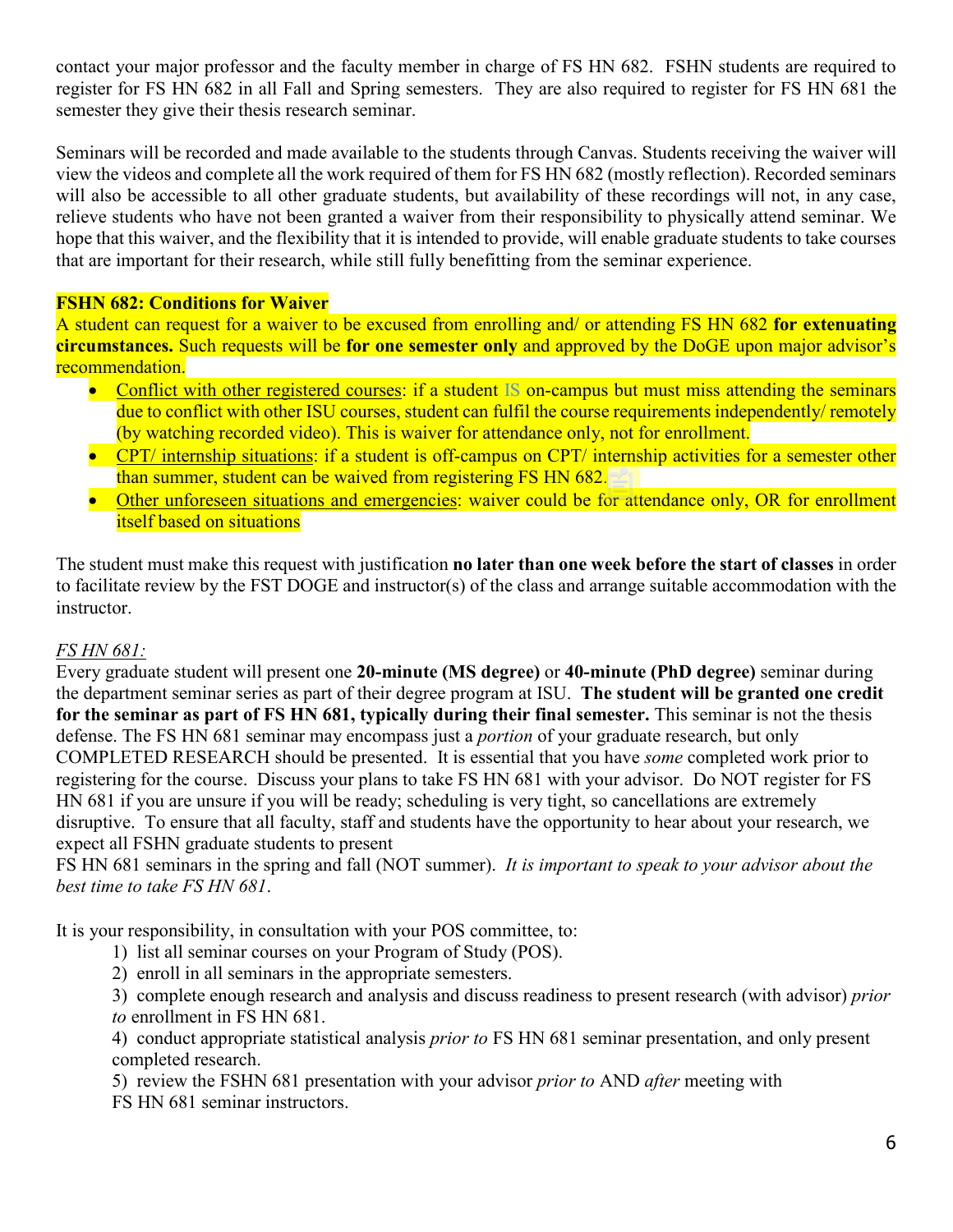contact your major professor and the faculty member in charge of FS HN 682. FSHN students are required to register for FS HN 682 in all Fall and Spring semesters. They are also required to register for FS HN 681 the semester they give their thesis research seminar.

Seminars will be recorded and made available to the students through Canvas. Students receiving the waiver will view the videos and complete all the work required of them for FS HN 682 (mostly reflection). Recorded seminars will also be accessible to all other graduate students, but availability of these recordings will not, in any case, relieve students who have not been granted a waiver from their responsibility to physically attend seminar. We hope that this waiver, and the flexibility that it is intended to provide, will enable graduate students to take courses that are important for their research, while still fully benefitting from the seminar experience.

#### **FSHN 682: Conditions for Waiver**

A student can request for a waiver to be excused from enrolling and/ or attending FS HN 682 **for extenuating circumstances.** Such requests will be **for one semester only** and approved by the DoGE upon major advisor's recommendation.

- Conflict with other registered courses: if a student IS on-campus but must miss attending the seminars due to conflict with other ISU courses, student can fulfil the course requirements independently/ remotely (by watching recorded video). This is waiver for attendance only, not for enrollment.
- CPT/ internship situations: if a student is off-campus on CPT/ internship activities for a semester other than summer, student can be waived from registering FS HN 682.
- Other unforeseen situations and emergencies: waiver could be for attendance only, OR for enrollment itself based on situations

The student must make this request with justification **no later than one week before the start of classes** in order to facilitate review by the FST DOGE and instructor(s) of the class and arrange suitable accommodation with the instructor.

#### *FS HN 681:*

Every graduate student will present one **20-minute (MS degree)** or **40-minute (PhD degree)** seminar during the department seminar series as part of their degree program at ISU. **The student will be granted one credit for the seminar as part of FS HN 681, typically during their final semester.** This seminar is not the thesis defense. The FS HN 681 seminar may encompass just a *portion* of your graduate research, but only COMPLETED RESEARCH should be presented. It is essential that you have *some* completed work prior to registering for the course. Discuss your plans to take FS HN 681 with your advisor. Do NOT register for FS HN 681 if you are unsure if you will be ready; scheduling is very tight, so cancellations are extremely disruptive. To ensure that all faculty, staff and students have the opportunity to hear about your research, we expect all FSHN graduate students to present

FS HN 681 seminars in the spring and fall (NOT summer). *It is important to speak to your advisor about the best time to take FS HN 681*.

It is your responsibility, in consultation with your POS committee, to:

- 1) list all seminar courses on your Program of Study (POS).
- 2) enroll in all seminars in the appropriate semesters.
- 3) complete enough research and analysis and discuss readiness to present research (with advisor) *prior to* enrollment in FS HN 681.

4) conduct appropriate statistical analysis *prior to* FS HN 681 seminar presentation, and only present completed research.

5) review the FSHN 681 presentation with your advisor *prior to* AND *after* meeting with FS HN 681 seminar instructors.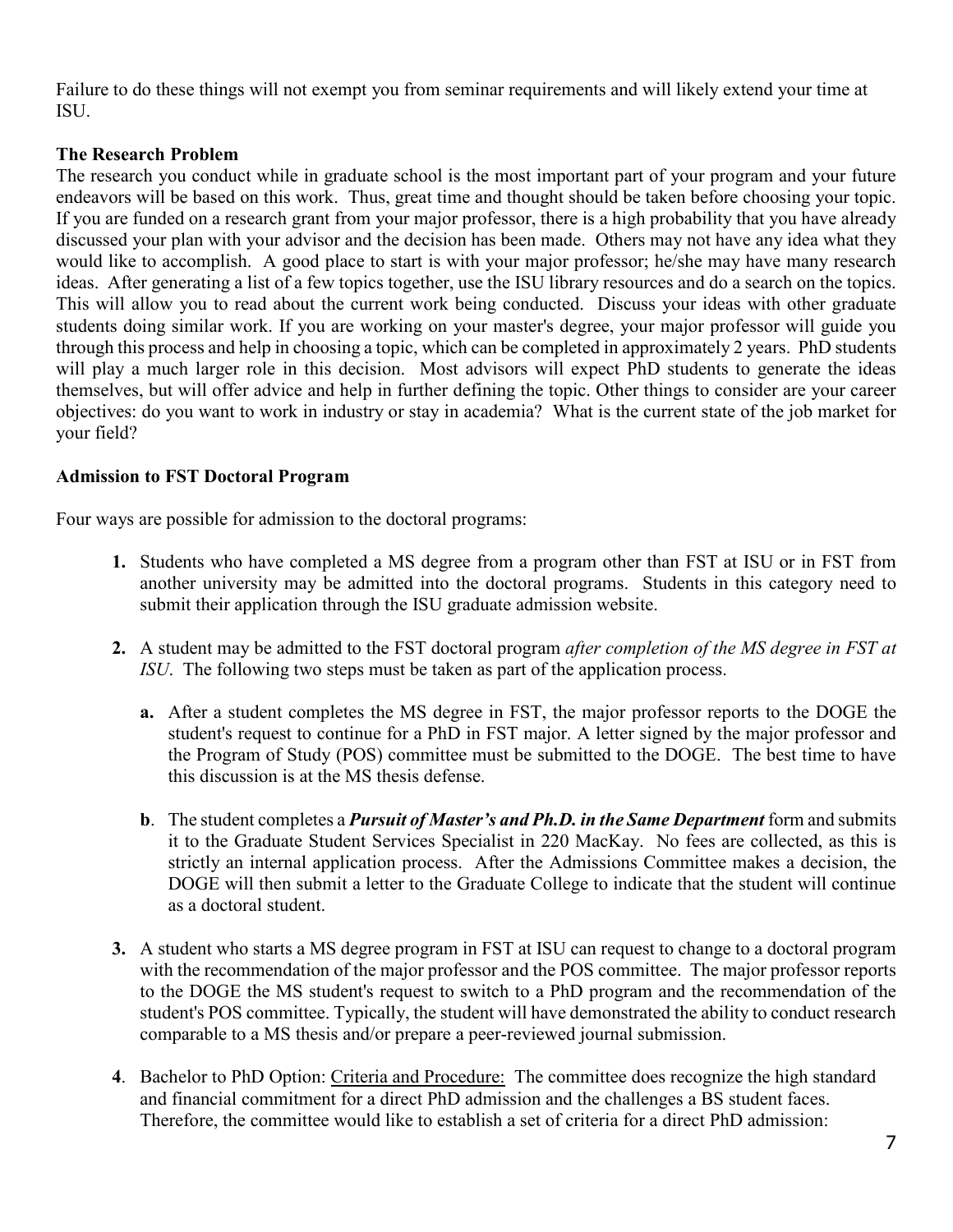Failure to do these things will not exempt you from seminar requirements and will likely extend your time at ISU.

#### <span id="page-8-0"></span>**The Research Problem**

The research you conduct while in graduate school is the most important part of your program and your future endeavors will be based on this work. Thus, great time and thought should be taken before choosing your topic. If you are funded on a research grant from your major professor, there is a high probability that you have already discussed your plan with your advisor and the decision has been made. Others may not have any idea what they would like to accomplish. A good place to start is with your major professor; he/she may have many research ideas. After generating a list of a few topics together, use the ISU library resources and do a search on the topics. This will allow you to read about the current work being conducted. Discuss your ideas with other graduate students doing similar work. If you are working on your master's degree, your major professor will guide you through this process and help in choosing a topic, which can be completed in approximately 2 years. PhD students will play a much larger role in this decision. Most advisors will expect PhD students to generate the ideas themselves, but will offer advice and help in further defining the topic. Other things to consider are your career objectives: do you want to work in industry or stay in academia? What is the current state of the job market for your field?

#### <span id="page-8-1"></span>**Admission to FST Doctoral Program**

Four ways are possible for admission to the doctoral programs:

- **1.** Students who have completed a MS degree from a program other than FST at ISU or in FST from another university may be admitted into the doctoral programs. Students in this category need to submit their application through the ISU graduate admission website.
- **2.** A student may be admitted to the FST doctoral program *after completion of the MS degree in FST at ISU*. The following two steps must be taken as part of the application process.
	- **a.** After a student completes the MS degree in FST, the major professor reports to the DOGE the student's request to continue for a PhD in FST major. A letter signed by the major professor and the Program of Study (POS) committee must be submitted to the DOGE. The best time to have this discussion is at the MS thesis defense.
	- **b**. The student completes a *Pursuit of Master's and Ph.D. in the Same Department* form and submits it to the Graduate Student Services Specialist in 220 MacKay. No fees are collected, as this is strictly an internal application process. After the Admissions Committee makes a decision, the DOGE will then submit a letter to the Graduate College to indicate that the student will continue as a doctoral student.
- **3.** A student who starts a MS degree program in FST at ISU can request to change to a doctoral program with the recommendation of the major professor and the POS committee. The major professor reports to the DOGE the MS student's request to switch to a PhD program and the recommendation of the student's POS committee. Typically, the student will have demonstrated the ability to conduct research comparable to a MS thesis and/or prepare a peer-reviewed journal submission.
- **4**. Bachelor to PhD Option: Criteria and Procedure: The committee does recognize the high standard and financial commitment for a direct PhD admission and the challenges a BS student faces. Therefore, the committee would like to establish a set of criteria for a direct PhD admission: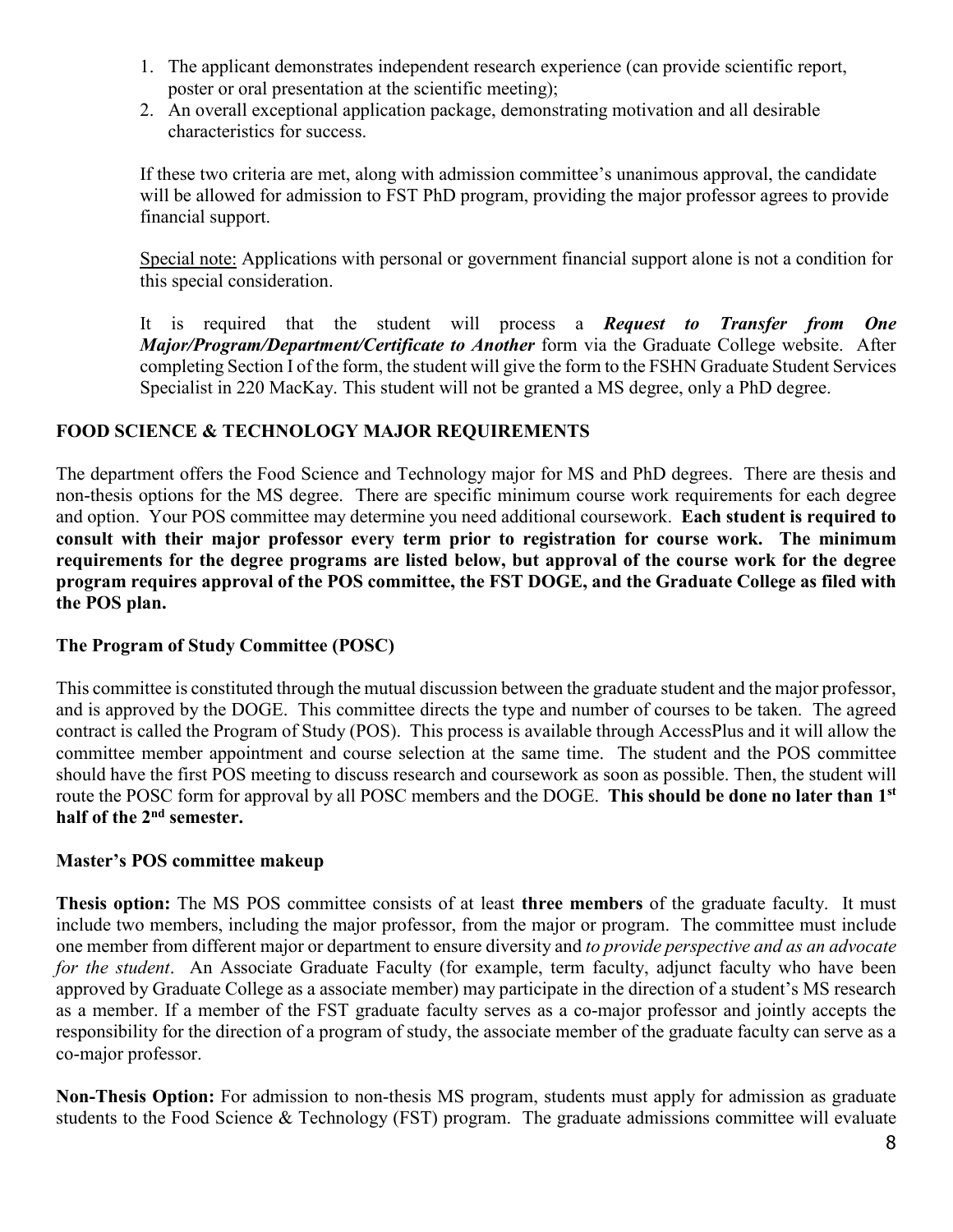- 1. The applicant demonstrates independent research experience (can provide scientific report, poster or oral presentation at the scientific meeting);
- 2. An overall exceptional application package, demonstrating motivation and all desirable characteristics for success.

If these two criteria are met, along with admission committee's unanimous approval, the candidate will be allowed for admission to FST PhD program, providing the major professor agrees to provide financial support.

Special note: Applications with personal or government financial support alone is not a condition for this special consideration.

It is required that the student will process a *Request to Transfer from One Major/Program/Department/Certificate to Another* form via the Graduate College website. After completing Section I of the form, the student will give the form to the FSHN Graduate Student Services Specialist in 220 MacKay. This student will not be granted a MS degree, only a PhD degree.

## **FOOD SCIENCE & TECHNOLOGY MAJOR REQUIREMENTS**

The department offers the Food Science and Technology major for MS and PhD degrees. There are thesis and non-thesis options for the MS degree. There are specific minimum course work requirements for each degree and option. Your POS committee may determine you need additional coursework. **Each student is required to consult with their major professor every term prior to registration for course work. The minimum requirements for the degree programs are listed below, but approval of the course work for the degree program requires approval of the POS committee, the FST DOGE, and the Graduate College as filed with the POS plan.**

#### <span id="page-9-0"></span>**The Program of Study Committee (POSC)**

This committee is constituted through the mutual discussion between the graduate student and the major professor, and is approved by the DOGE. This committee directs the type and number of courses to be taken. The agreed contract is called the Program of Study (POS). This process is available through AccessPlus and it will allow the committee member appointment and course selection at the same time. The student and the POS committee should have the first POS meeting to discuss research and coursework as soon as possible. Then, the student will route the POSC form for approval by all POSC members and the DOGE. **This should be done no later than 1st half of the 2nd semester.**

#### **Master's POS committee makeup**

**Thesis option:** The MS POS committee consists of at least **three members** of the graduate faculty. It must include two members, including the major professor, from the major or program. The committee must include one member from different major or department to ensure diversity and *to provide perspective and as an advocate for the student*. An Associate Graduate Faculty (for example, term faculty, adjunct faculty who have been approved by Graduate College as a associate member) may participate in the direction of a student's MS research as a member. If a member of the FST graduate faculty serves as a co-major professor and jointly accepts the responsibility for the direction of a program of study, the associate member of the graduate faculty can serve as a co-major professor.

**Non-Thesis Option:** For admission to non-thesis MS program, students must apply for admission as graduate students to the Food Science & Technology (FST) program. The graduate admissions committee will evaluate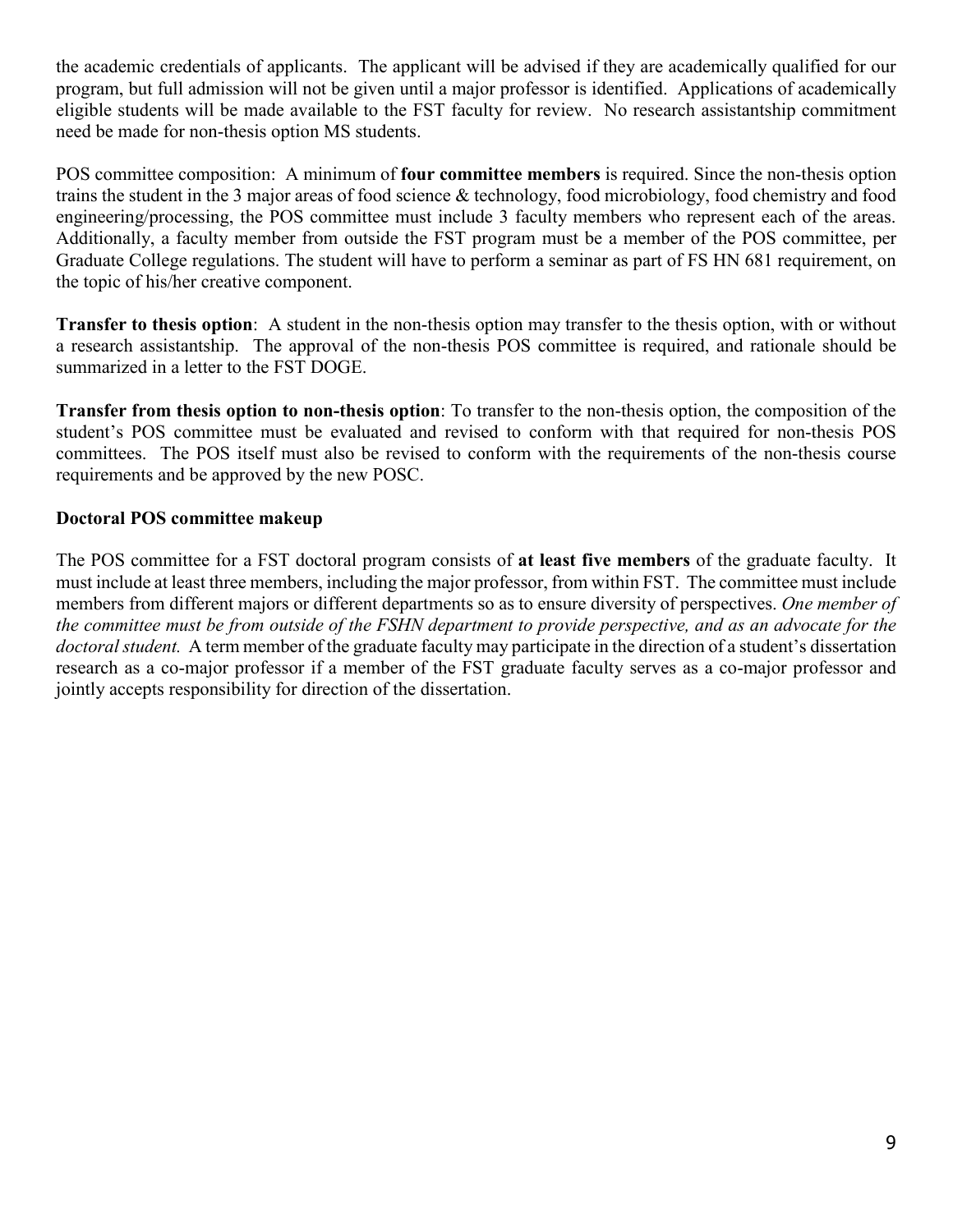the academic credentials of applicants. The applicant will be advised if they are academically qualified for our program, but full admission will not be given until a major professor is identified. Applications of academically eligible students will be made available to the FST faculty for review. No research assistantship commitment need be made for non-thesis option MS students.

POS committee composition: A minimum of **four committee members** is required. Since the non-thesis option trains the student in the 3 major areas of food science & technology, food microbiology, food chemistry and food engineering/processing, the POS committee must include 3 faculty members who represent each of the areas. Additionally, a faculty member from outside the FST program must be a member of the POS committee, per Graduate College regulations. The student will have to perform a seminar as part of FS HN 681 requirement, on the topic of his/her creative component.

**Transfer to thesis option**: A student in the non-thesis option may transfer to the thesis option, with or without a research assistantship. The approval of the non-thesis POS committee is required, and rationale should be summarized in a letter to the FST DOGE.

**Transfer from thesis option to non-thesis option**: To transfer to the non-thesis option, the composition of the student's POS committee must be evaluated and revised to conform with that required for non-thesis POS committees. The POS itself must also be revised to conform with the requirements of the non-thesis course requirements and be approved by the new POSC.

## **Doctoral POS committee makeup**

The POS committee for a FST doctoral program consists of **at least five members** of the graduate faculty. It must include at least three members, including the major professor, from within FST. The committee must include members from different majors or different departments so as to ensure diversity of perspectives. *One member of the committee must be from outside of the FSHN department to provide perspective, and as an advocate for the doctoral student.* A term member of the graduate faculty may participate in the direction of a student's dissertation research as a co-major professor if a member of the FST graduate faculty serves as a co-major professor and jointly accepts responsibility for direction of the dissertation.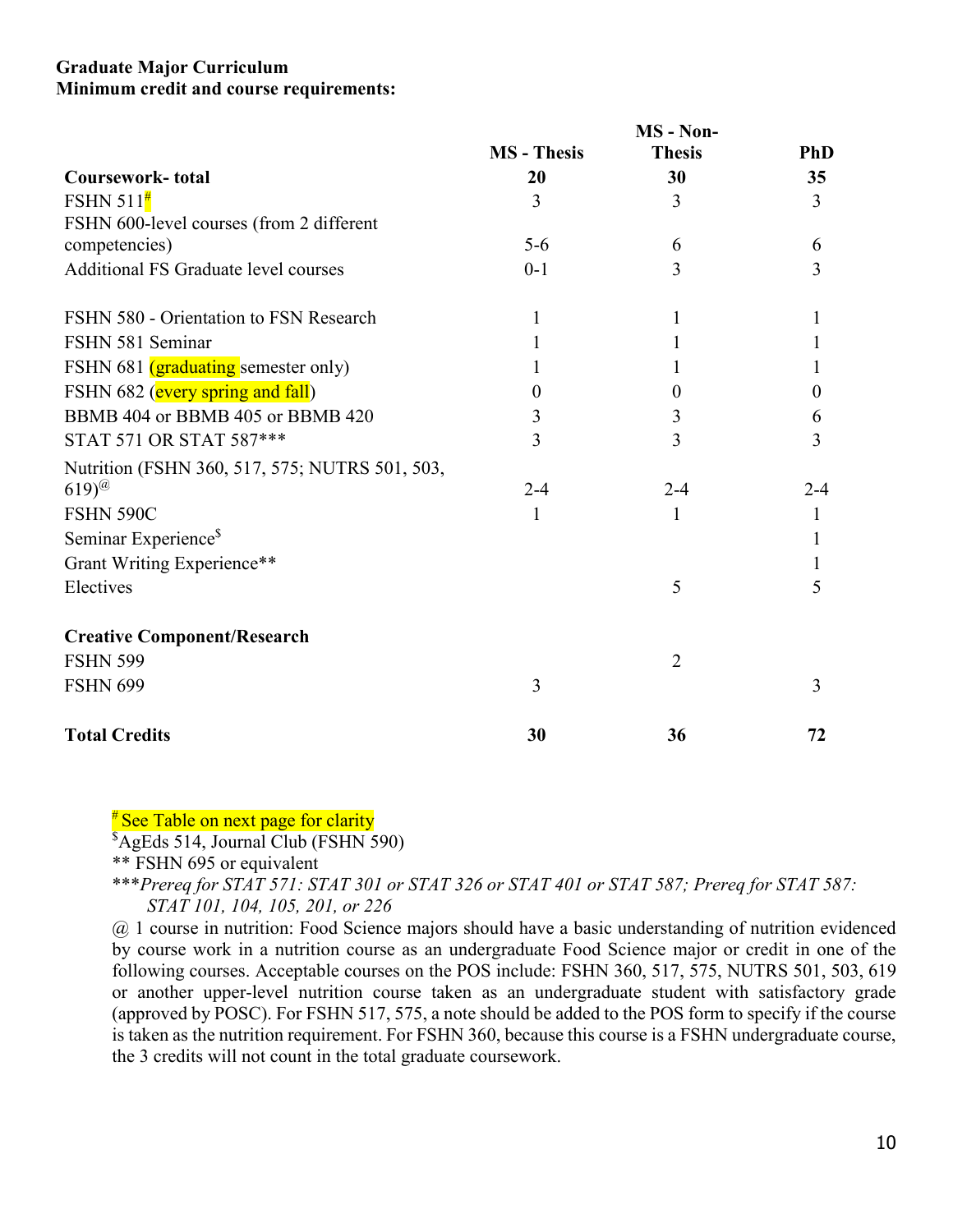#### <span id="page-11-0"></span>**Graduate Major Curriculum Minimum credit and course requirements:**

|                                                | MS - Non-          |                |                |
|------------------------------------------------|--------------------|----------------|----------------|
|                                                | <b>MS</b> - Thesis | <b>Thesis</b>  | <b>PhD</b>     |
| <b>Coursework-total</b>                        | 20                 | 30             | 35             |
| FSHN $511^{\frac{\mu}{4}}$                     | 3                  | 3              | $\overline{3}$ |
| FSHN 600-level courses (from 2 different       |                    |                |                |
| competencies)                                  | $5-6$              | 6              | 6              |
| Additional FS Graduate level courses           | $0 - 1$            | 3              | $\overline{3}$ |
| FSHN 580 - Orientation to FSN Research         | 1                  |                |                |
| FSHN 581 Seminar                               |                    |                |                |
| FSHN 681 (graduating semester only)            |                    |                |                |
| FSHN 682 (every spring and fall)               | $\theta$           | $\Omega$       | $\theta$       |
| BBMB 404 or BBMB 405 or BBMB 420               | 3                  | 3              | 6              |
| STAT 571 OR STAT 587***                        | 3                  | 3              | 3              |
| Nutrition (FSHN 360, 517, 575; NUTRS 501, 503, |                    |                |                |
| $(619)$ <sup>@</sup>                           | $2 - 4$            | $2 - 4$        | $2 - 4$        |
| <b>FSHN 590C</b>                               | 1                  | 1              | 1              |
| Seminar Experience <sup>§</sup>                |                    |                | 1              |
| Grant Writing Experience**                     |                    |                | 1              |
| Electives                                      |                    | 5              | 5              |
| <b>Creative Component/Research</b>             |                    |                |                |
| <b>FSHN 599</b>                                |                    | $\overline{2}$ |                |
| <b>FSHN 699</b>                                | 3                  |                | 3              |
| <b>Total Credits</b>                           | 30                 | 36             | 72             |

## <sup>#</sup> See Table on next page for clarity

\$ AgEds 514, Journal Club (FSHN 590)

\*\* FSHN 695 or equivalent

\*\*\**Prereq for STAT 571: STAT 301 or STAT 326 or STAT 401 or STAT 587; Prereq for STAT 587: STAT 101, 104, 105, 201, or 226*

@ 1 course in nutrition: Food Science majors should have a basic understanding of nutrition evidenced by course work in a nutrition course as an undergraduate Food Science major or credit in one of the following courses. Acceptable courses on the POS include: FSHN 360, 517, 575, NUTRS 501, 503, 619 or another upper-level nutrition course taken as an undergraduate student with satisfactory grade (approved by POSC). For FSHN 517, 575, a note should be added to the POS form to specify if the course is taken as the nutrition requirement. For FSHN 360, because this course is a FSHN undergraduate course, the 3 credits will not count in the total graduate coursework.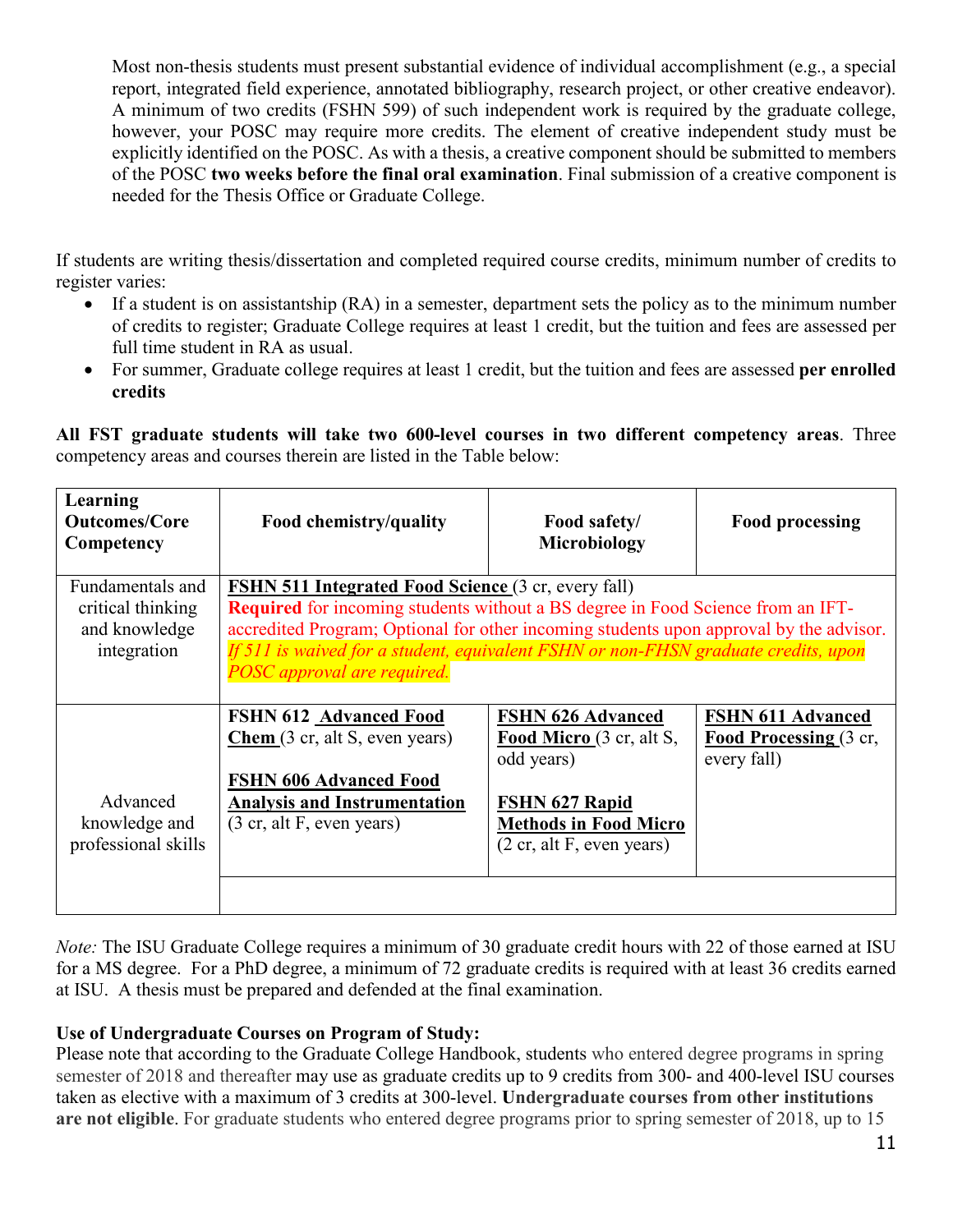Most non-thesis students must present substantial evidence of individual accomplishment (e.g., a special report, integrated field experience, annotated bibliography, research project, or other creative endeavor). A minimum of two credits (FSHN 599) of such independent work is required by the graduate college, however, your POSC may require more credits. The element of creative independent study must be explicitly identified on the POSC. As with a thesis, a creative component should be submitted to members of the POSC **two weeks before the final oral examination**. Final submission of a creative component is needed for the Thesis Office or Graduate College.

If students are writing thesis/dissertation and completed required course credits, minimum number of credits to register varies:

- If a student is on assistantship (RA) in a semester, department sets the policy as to the minimum number of credits to register; Graduate College requires at least 1 credit, but the tuition and fees are assessed per full time student in RA as usual.
- For summer, Graduate college requires at least 1 credit, but the tuition and fees are assessed **per enrolled credits**

**All FST graduate students will take two 600-level courses in two different competency areas**. Three competency areas and courses therein are listed in the Table below:

| Learning<br><b>Outcomes/Core</b><br>Competency                        | Food chemistry/quality                                                                                                                                                                                                                                                                                                                                              | Food safety/<br>Microbiology                                                                                                                                                | <b>Food processing</b>                                            |  |
|-----------------------------------------------------------------------|---------------------------------------------------------------------------------------------------------------------------------------------------------------------------------------------------------------------------------------------------------------------------------------------------------------------------------------------------------------------|-----------------------------------------------------------------------------------------------------------------------------------------------------------------------------|-------------------------------------------------------------------|--|
| Fundamentals and<br>critical thinking<br>and knowledge<br>integration | <b>FSHN 511 Integrated Food Science (3 cr, every fall)</b><br><b>Required</b> for incoming students without a BS degree in Food Science from an IFT-<br>accredited Program; Optional for other incoming students upon approval by the advisor.<br>If 511 is waived for a student, equivalent FSHN or non-FHSN graduate credits, upon<br>POSC approval are required. |                                                                                                                                                                             |                                                                   |  |
| Advanced<br>knowledge and<br>professional skills                      | <b>FSHN 612 Advanced Food</b><br>Chem(3 cr, alt S, even years)<br><b>FSHN 606 Advanced Food</b><br><b>Analysis and Instrumentation</b><br>(3 cr, alt F, even years)                                                                                                                                                                                                 | <b>FSHN 626 Advanced</b><br>Food Micro (3 cr, alt S,<br>odd years)<br>FSHN 627 Rapid<br><b>Methods in Food Micro</b><br>$(2 \text{ cr}, \text{alt } F, \text{ even years})$ | <b>FSHN 611 Advanced</b><br>Food Processing (3 cr,<br>every fall) |  |

*Note:* The ISU Graduate College requires a minimum of 30 graduate credit hours with 22 of those earned at ISU for a MS degree. For a PhD degree, a minimum of 72 graduate credits is required with at least 36 credits earned at ISU. A thesis must be prepared and defended at the final examination.

#### **Use of Undergraduate Courses on Program of Study:**

Please note that according to the Graduate College Handbook, students who entered degree programs in spring semester of 2018 and thereafter may use as graduate credits up to 9 credits from 300- and 400-level ISU courses taken as elective with a maximum of 3 credits at 300-level. **Undergraduate courses from other institutions are not eligible**. For graduate students who entered degree programs prior to spring semester of 2018, up to 15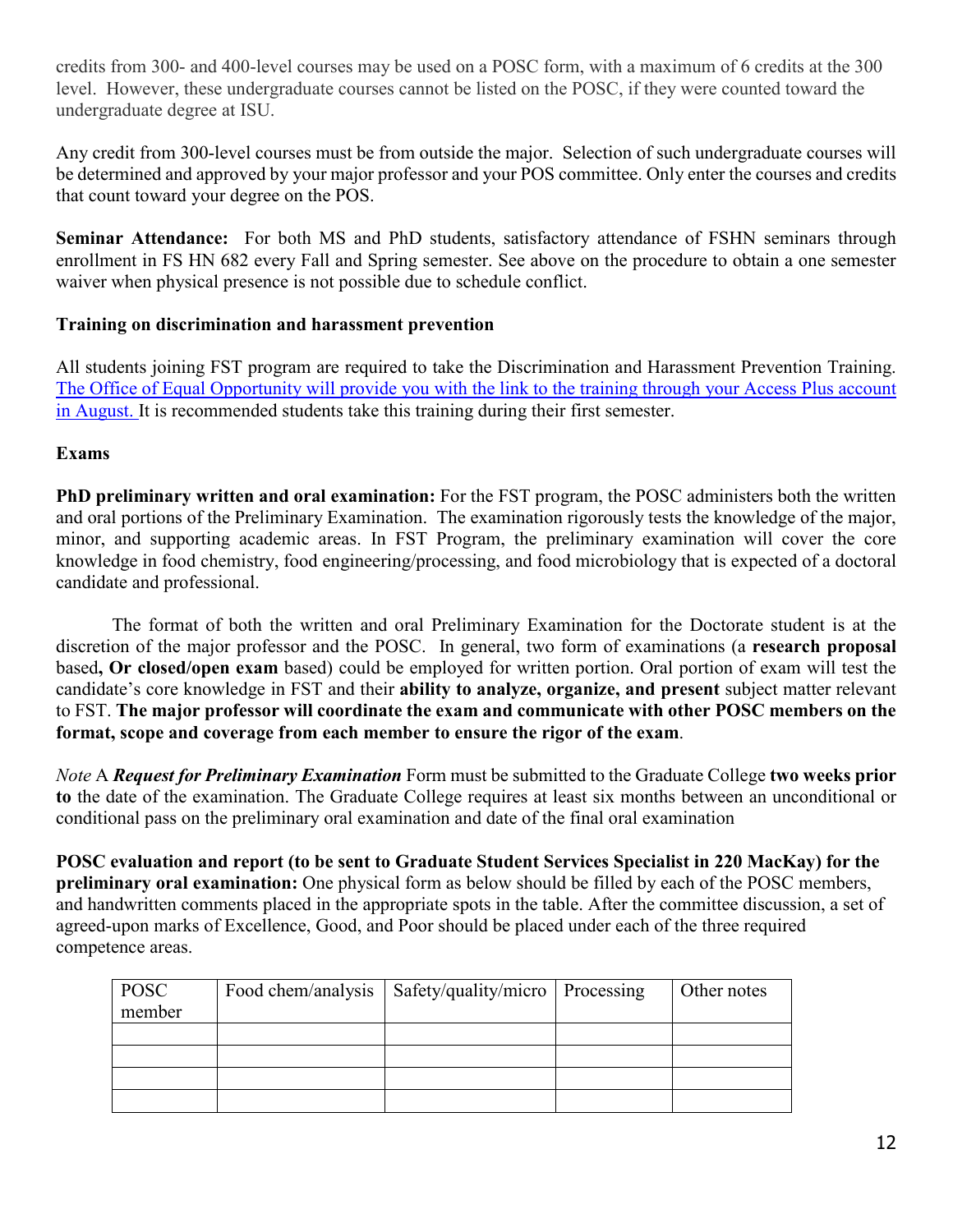credits from 300- and 400-level courses may be used on a POSC form, with a maximum of 6 credits at the 300 level. However, these undergraduate courses cannot be listed on the POSC, if they were counted toward the undergraduate degree at ISU.

Any credit from 300-level courses must be from outside the major. Selection of such undergraduate courses will be determined and approved by your major professor and your POS committee. Only enter the courses and credits that count toward your degree on the POS.

**Seminar Attendance:** For both MS and PhD students, satisfactory attendance of FSHN seminars through enrollment in FS HN 682 every Fall and Spring semester. See above on the procedure to obtain a one semester waiver when physical presence is not possible due to schedule conflict.

## <span id="page-13-0"></span>**Training on discrimination and harassment prevention**

All students joining FST program are required to take the Discrimination and Harassment Prevention Training. The Office of Equal Opportunity will provide you with the link to the training through your Access Plus account in August. It is recommended students take this training during their first semester.

## <span id="page-13-1"></span>**Exams**

**PhD preliminary written and oral examination:** For the FST program, the POSC administers both the written and oral portions of the Preliminary Examination. The examination rigorously tests the knowledge of the major, minor, and supporting academic areas. In FST Program, the preliminary examination will cover the core knowledge in food chemistry, food engineering/processing, and food microbiology that is expected of a doctoral candidate and professional.

The format of both the written and oral Preliminary Examination for the Doctorate student is at the discretion of the major professor and the POSC. In general, two form of examinations (a **research proposal**  based**, Or closed/open exam** based) could be employed for written portion. Oral portion of exam will test the candidate's core knowledge in FST and their **ability to analyze, organize, and present** subject matter relevant to FST. **The major professor will coordinate the exam and communicate with other POSC members on the format, scope and coverage from each member to ensure the rigor of the exam**.

*Note* A *Request for Preliminary Examination* Form must be submitted to the Graduate College **two weeks prior to** the date of the examination. The Graduate College requires at least six months between an unconditional or conditional pass on the preliminary oral examination and date of the final oral examination

**POSC evaluation and report (to be sent to Graduate Student Services Specialist in 220 MacKay) for the preliminary oral examination:** One physical form as below should be filled by each of the POSC members, and handwritten comments placed in the appropriate spots in the table. After the committee discussion, a set of agreed-upon marks of Excellence, Good, and Poor should be placed under each of the three required competence areas.

| <b>POSC</b> | Food chem/analysis   Safety/quality/micro   Processing | Other notes |
|-------------|--------------------------------------------------------|-------------|
| member      |                                                        |             |
|             |                                                        |             |
|             |                                                        |             |
|             |                                                        |             |
|             |                                                        |             |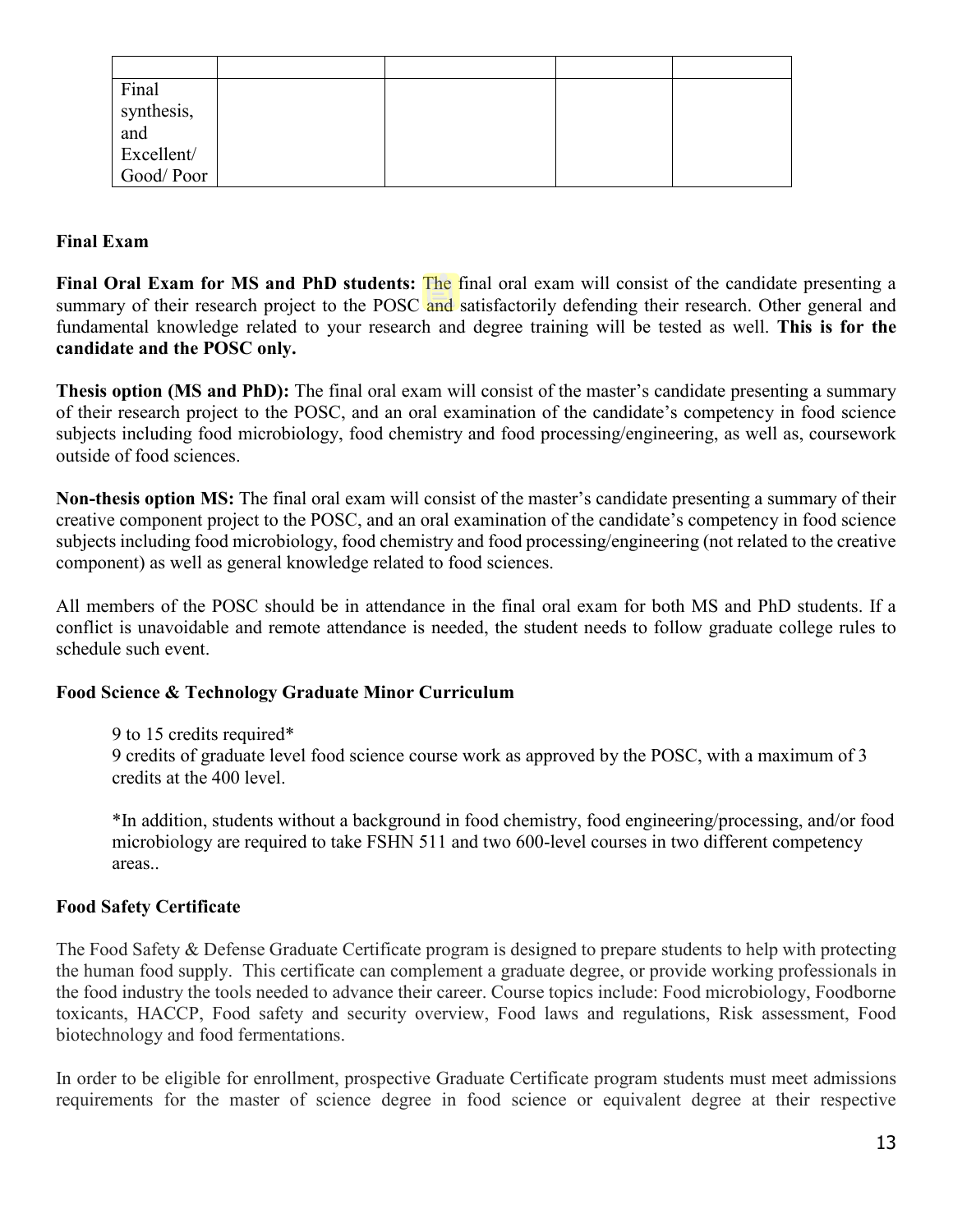| Final             |  |  |
|-------------------|--|--|
| synthesis,        |  |  |
| and<br>Excellent/ |  |  |
|                   |  |  |
| Good/Poor         |  |  |

## **Final Exam**

**Final Oral Exam for MS and PhD students:** The final oral exam will consist of the candidate presenting a summary of their research project to the POSC and satisfactorily defending their research. Other general and fundamental knowledge related to your research and degree training will be tested as well. **This is for the candidate and the POSC only.**

**Thesis option (MS and PhD):** The final oral exam will consist of the master's candidate presenting a summary of their research project to the POSC, and an oral examination of the candidate's competency in food science subjects including food microbiology, food chemistry and food processing/engineering, as well as, coursework outside of food sciences.

**Non-thesis option MS:** The final oral exam will consist of the master's candidate presenting a summary of their creative component project to the POSC, and an oral examination of the candidate's competency in food science subjects including food microbiology, food chemistry and food processing/engineering (not related to the creative component) as well as general knowledge related to food sciences.

All members of the POSC should be in attendance in the final oral exam for both MS and PhD students. If a conflict is unavoidable and remote attendance is needed, the student needs to follow graduate college rules to schedule such event.

#### <span id="page-14-0"></span>**Food Science & Technology Graduate Minor Curriculum**

9 to 15 credits required\*

9 credits of graduate level food science course work as approved by the POSC, with a maximum of 3 credits at the 400 level.

\*In addition, students without a background in food chemistry, food engineering/processing, and/or food microbiology are required to take FSHN 511 and two 600-level courses in two different competency areas..

#### <span id="page-14-1"></span>**Food Safety Certificate**

The Food Safety & Defense Graduate Certificate program is designed to prepare students to help with protecting the human food supply. This certificate can complement a graduate degree, or provide working professionals in the food industry the tools needed to advance their career. Course topics include: Food microbiology, Foodborne toxicants, HACCP, Food safety and security overview, Food laws and regulations, Risk assessment, Food biotechnology and food fermentations.

In order to be eligible for enrollment, prospective Graduate Certificate program students must meet admissions requirements for the master of science degree in food science or equivalent degree at their respective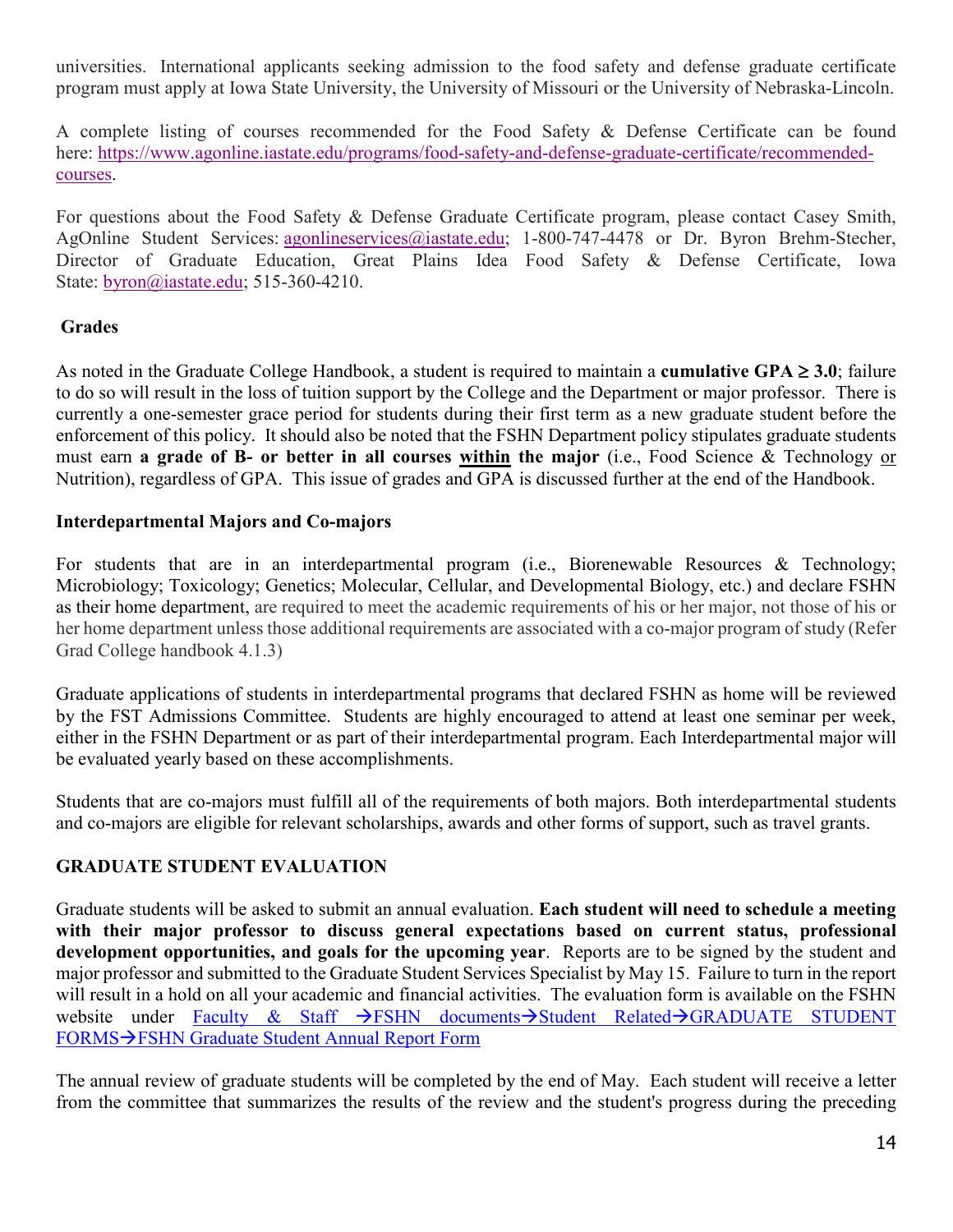universities. International applicants seeking admission to the food safety and defense graduate certificate program must apply at Iowa State University, the University of Missouri or the University of Nebraska-Lincoln.

A complete listing of courses recommended for the Food Safety & Defense Certificate can be found here: [https://www.agonline.iastate.edu/programs/food-safety-and-defense-graduate-certificate/recommended](https://www.agonline.iastate.edu/programs/food-safety-and-defense-graduate-certificate/recommended-courses)[courses.](https://www.agonline.iastate.edu/programs/food-safety-and-defense-graduate-certificate/recommended-courses)

For questions about the Food Safety & Defense Graduate Certificate program, please contact Casey Smith, AgOnline Student Services: agonlineservices@iastate.edu; 1-800-747-4478 or Dr. Byron Brehm-Stecher, Director of Graduate Education, Great Plains Idea Food Safety & Defense Certificate, Iowa State: [byron@iastate.edu;](mailto:byron@iastate.edu) 515-360-4210.

#### <span id="page-15-0"></span>**Grades**

As noted in the Graduate College Handbook, a student is required to maintain a **cumulative GPA** ≥ **3.0**; failure to do so will result in the loss of tuition support by the College and the Department or major professor. There is currently a one-semester grace period for students during their first term as a new graduate student before the enforcement of this policy. It should also be noted that the FSHN Department policy stipulates graduate students must earn **a grade of B- or better in all courses within the major** (i.e., Food Science & Technology or Nutrition), regardless of GPA. This issue of grades and GPA is discussed further at the end of the Handbook.

#### <span id="page-15-2"></span><span id="page-15-1"></span>**Interdepartmental Majors and Co-majors**

For students that are in an interdepartmental program (i.e., Biorenewable Resources & Technology; Microbiology; Toxicology; Genetics; Molecular, Cellular, and Developmental Biology, etc.) and declare FSHN as their home department, are required to meet the academic requirements of his or her major, not those of his or her home department unless those additional requirements are associated with a co-major program of study (Refer Grad College handbook 4.1.3)

Graduate applications of students in interdepartmental programs that declared FSHN as home will be reviewed by the FST Admissions Committee. Students are highly encouraged to attend at least one seminar per week, either in the FSHN Department or as part of their interdepartmental program. Each Interdepartmental major will be evaluated yearly based on these accomplishments.

Students that are co-majors must fulfill all of the requirements of both majors. Both interdepartmental students and co-majors are eligible for relevant scholarships, awards and other forms of support, such as travel grants.

#### **GRADUATE STUDENT EVALUATION**

Graduate students will be asked to submit an annual evaluation. **Each student will need to schedule a meeting with their major professor to discuss general expectations based on current status, professional development opportunities, and goals for the upcoming year**. Reports are to be signed by the student and major professor and submitted to the Graduate Student Services Specialist by May 15. Failure to turn in the report will result in a hold on all your academic and financial activities. The evaluation form is available on the FSHN website under Faculty & Staff  $\rightarrow$ FSHN documents $\rightarrow$ Student Related $\rightarrow$ GRADUATE STUDENT FORMS->FSHN Graduate Student Annual Report Form

The annual review of graduate students will be completed by the end of May. Each student will receive a letter from the committee that summarizes the results of the review and the student's progress during the preceding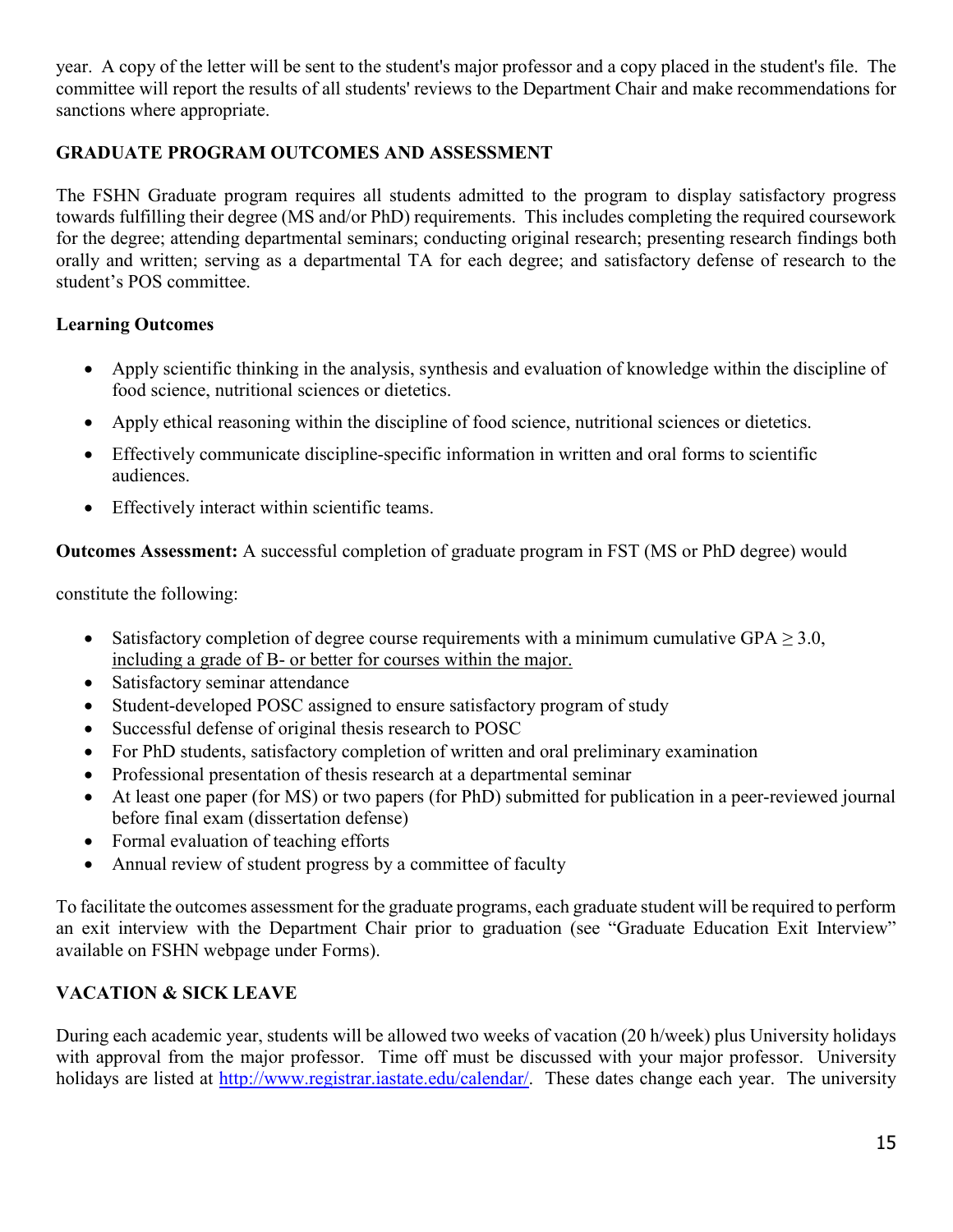year. A copy of the letter will be sent to the student's major professor and a copy placed in the student's file. The committee will report the results of all students' reviews to the Department Chair and make recommendations for sanctions where appropriate.

## <span id="page-16-0"></span>**GRADUATE PROGRAM OUTCOMES AND ASSESSMENT**

The FSHN Graduate program requires all students admitted to the program to display satisfactory progress towards fulfilling their degree (MS and/or PhD) requirements. This includes completing the required coursework for the degree; attending departmental seminars; conducting original research; presenting research findings both orally and written; serving as a departmental TA for each degree; and satisfactory defense of research to the student's POS committee.

## **Learning Outcomes**

- Apply scientific thinking in the analysis, synthesis and evaluation of knowledge within the discipline of food science, nutritional sciences or dietetics.
- Apply ethical reasoning within the discipline of food science, nutritional sciences or dietetics.
- Effectively communicate discipline-specific information in written and oral forms to scientific audiences.
- Effectively interact within scientific teams.

**Outcomes Assessment:** A successful completion of graduate program in FST (MS or PhD degree) would

constitute the following:

- Satisfactory completion of degree course requirements with a minimum cumulative GPA  $\geq$  3.0, including a grade of B- or better for courses within the major.
- Satisfactory seminar attendance
- Student-developed POSC assigned to ensure satisfactory program of study
- Successful defense of original thesis research to POSC
- For PhD students, satisfactory completion of written and oral preliminary examination
- Professional presentation of thesis research at a departmental seminar
- At least one paper (for MS) or two papers (for PhD) submitted for publication in a peer-reviewed journal before final exam (dissertation defense)
- Formal evaluation of teaching efforts
- Annual review of student progress by a committee of faculty

To facilitate the outcomes assessment for the graduate programs, each graduate student will be required to perform an exit interview with the Department Chair prior to graduation (see "Graduate Education Exit Interview" available on FSHN webpage under Forms).

## <span id="page-16-1"></span>**VACATION & SICK LEAVE**

During each academic year, students will be allowed two weeks of vacation (20 h/week) plus University holidays with approval from the major professor. Time off must be discussed with your major professor. University holidays are listed at [http://www.registrar.iastate.edu/calendar/.](http://www.registrar.iastate.edu/calendar/) These dates change each year. The university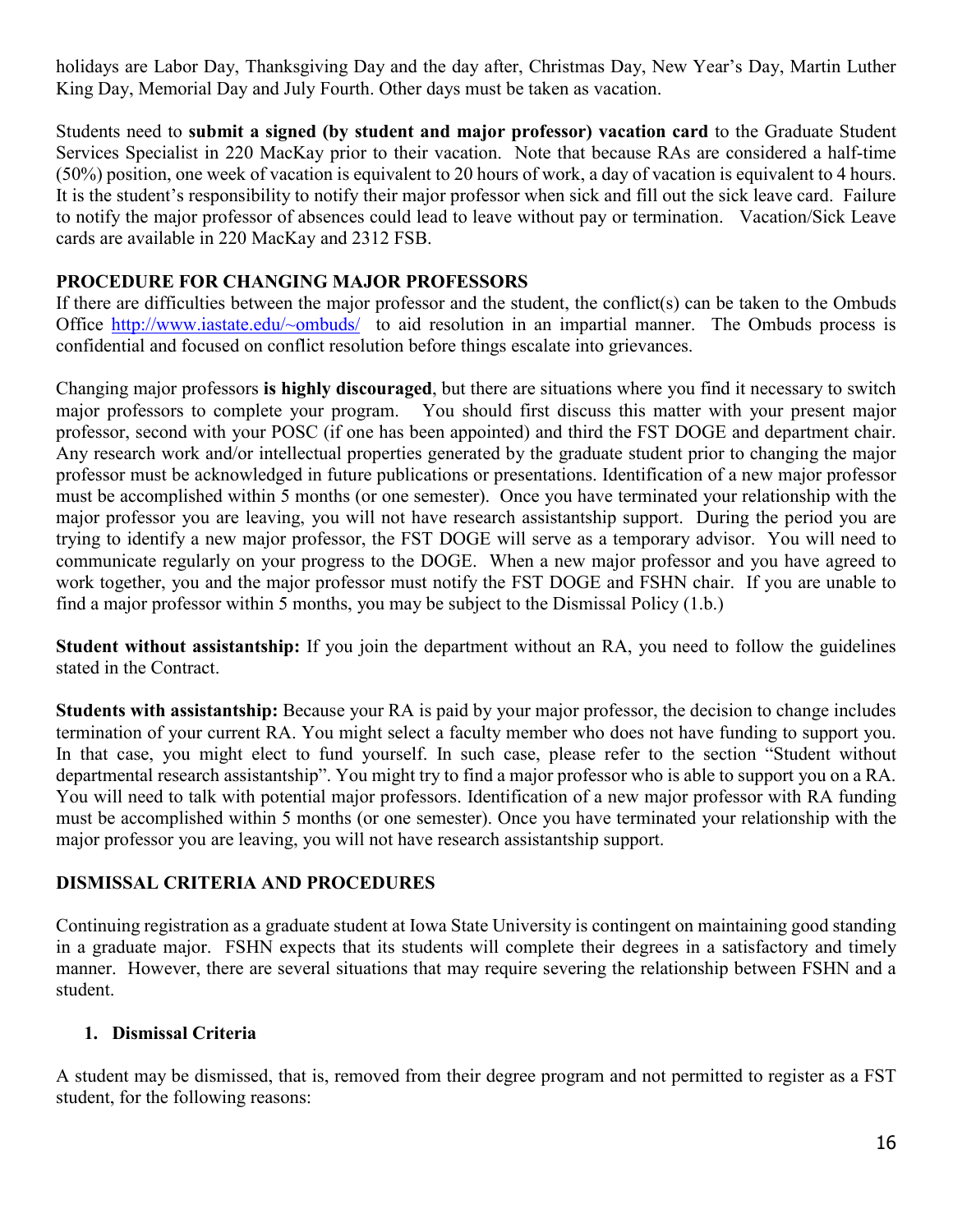holidays are Labor Day, Thanksgiving Day and the day after, Christmas Day, New Year's Day, Martin Luther King Day, Memorial Day and July Fourth. Other days must be taken as vacation.

Students need to **submit a signed (by student and major professor) vacation card** to the Graduate Student Services Specialist in 220 MacKay prior to their vacation. Note that because RAs are considered a half-time (50%) position, one week of vacation is equivalent to 20 hours of work, a day of vacation is equivalent to 4 hours. It is the student's responsibility to notify their major professor when sick and fill out the sick leave card. Failure to notify the major professor of absences could lead to leave without pay or termination. Vacation/Sick Leave cards are available in 220 MacKay and 2312 FSB.

### <span id="page-17-0"></span>**PROCEDURE FOR CHANGING MAJOR PROFESSORS**

If there are difficulties between the major professor and the student, the conflict(s) can be taken to the Ombuds Office [http://www.iastate.edu/~ombuds/](http://www.iastate.edu/%7Eombuds/) to aid resolution in an impartial manner. The Ombuds process is confidential and focused on conflict resolution before things escalate into grievances.

Changing major professors **is highly discouraged**, but there are situations where you find it necessary to switch major professors to complete your program. You should first discuss this matter with your present major professor, second with your POSC (if one has been appointed) and third the FST DOGE and department chair. Any research work and/or intellectual properties generated by the graduate student prior to changing the major professor must be acknowledged in future publications or presentations. Identification of a new major professor must be accomplished within 5 months (or one semester). Once you have terminated your relationship with the major professor you are leaving, you will not have research assistantship support. During the period you are trying to identify a new major professor, the FST DOGE will serve as a temporary advisor. You will need to communicate regularly on your progress to the DOGE. When a new major professor and you have agreed to work together, you and the major professor must notify the FST DOGE and FSHN chair. If you are unable to find a major professor within 5 months, you may be subject to the Dismissal Policy (1.b.)

**Student without assistantship:** If you join the department without an RA, you need to follow the guidelines stated in the Contract.

**Students with assistantship:** Because your RA is paid by your major professor, the decision to change includes termination of your current RA. You might select a faculty member who does not have funding to support you. In that case, you might elect to fund yourself. In such case, please refer to the section "Student without departmental research assistantship". You might try to find a major professor who is able to support you on a RA. You will need to talk with potential major professors. Identification of a new major professor with RA funding must be accomplished within 5 months (or one semester). Once you have terminated your relationship with the major professor you are leaving, you will not have research assistantship support.

#### <span id="page-17-1"></span>**DISMISSAL CRITERIA AND PROCEDURES**

Continuing registration as a graduate student at Iowa State University is contingent on maintaining good standing in a graduate major. FSHN expects that its students will complete their degrees in a satisfactory and timely manner. However, there are several situations that may require severing the relationship between FSHN and a student.

#### **1. Dismissal Criteria**

A student may be dismissed, that is, removed from their degree program and not permitted to register as a FST student, for the following reasons: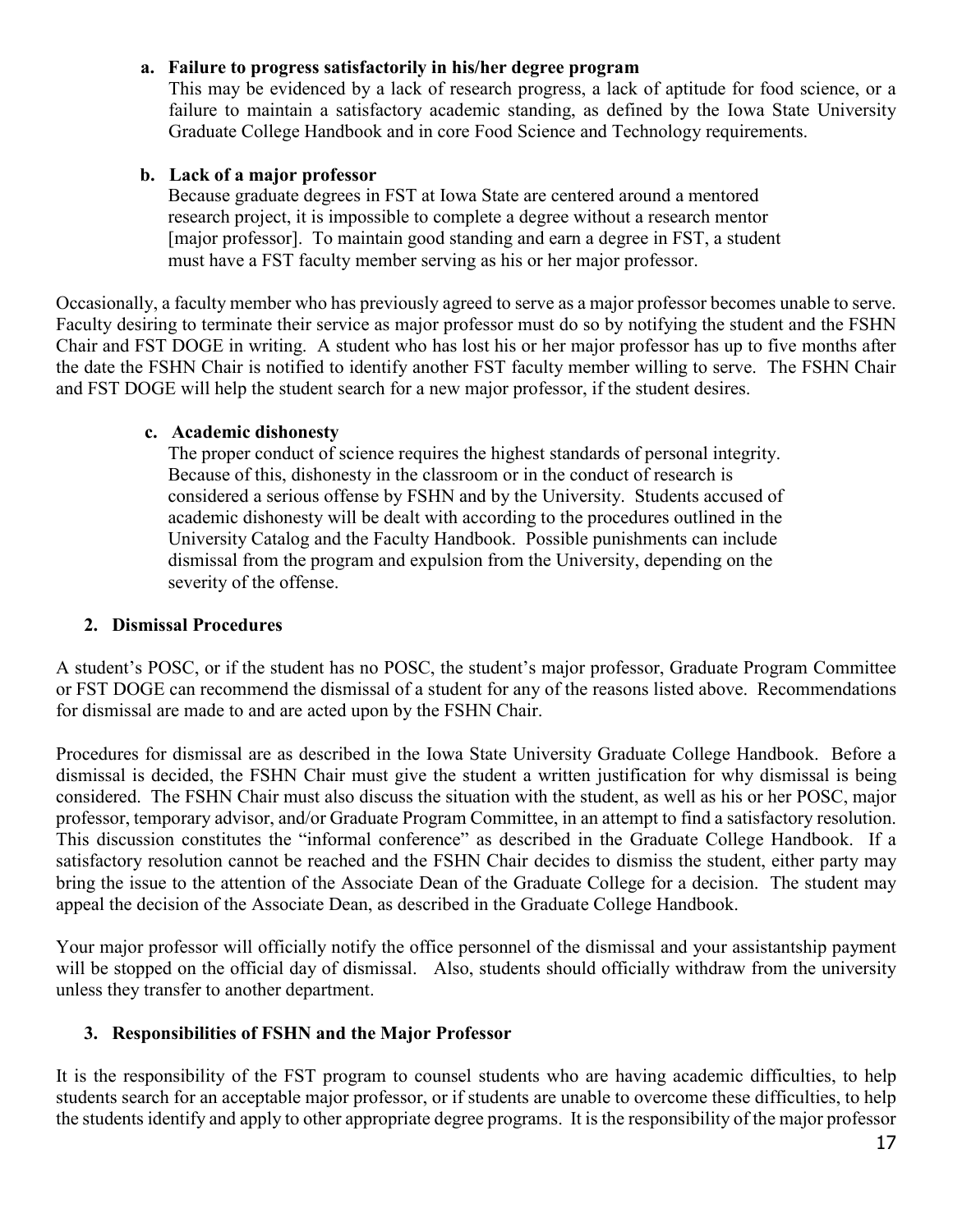#### **a. Failure to progress satisfactorily in his/her degree program**

This may be evidenced by a lack of research progress, a lack of aptitude for food science, or a failure to maintain a satisfactory academic standing, as defined by the Iowa State University Graduate College Handbook and in core Food Science and Technology requirements.

#### **b. Lack of a major professor**

 Because graduate degrees in FST at Iowa State are centered around a mentored research project, it is impossible to complete a degree without a research mentor [major professor]. To maintain good standing and earn a degree in FST, a student must have a FST faculty member serving as his or her major professor.

Occasionally, a faculty member who has previously agreed to serve as a major professor becomes unable to serve. Faculty desiring to terminate their service as major professor must do so by notifying the student and the FSHN Chair and FST DOGE in writing. A student who has lost his or her major professor has up to five months after the date the FSHN Chair is notified to identify another FST faculty member willing to serve. The FSHN Chair and FST DOGE will help the student search for a new major professor, if the student desires.

#### **c. Academic dishonesty**

The proper conduct of science requires the highest standards of personal integrity. Because of this, dishonesty in the classroom or in the conduct of research is considered a serious offense by FSHN and by the University. Students accused of academic dishonesty will be dealt with according to the procedures outlined in the University Catalog and the Faculty Handbook. Possible punishments can include dismissal from the program and expulsion from the University, depending on the severity of the offense.

#### **2. Dismissal Procedures**

A student's POSC, or if the student has no POSC, the student's major professor, Graduate Program Committee or FST DOGE can recommend the dismissal of a student for any of the reasons listed above. Recommendations for dismissal are made to and are acted upon by the FSHN Chair.

Procedures for dismissal are as described in the Iowa State University Graduate College Handbook. Before a dismissal is decided, the FSHN Chair must give the student a written justification for why dismissal is being considered. The FSHN Chair must also discuss the situation with the student, as well as his or her POSC, major professor, temporary advisor, and/or Graduate Program Committee, in an attempt to find a satisfactory resolution. This discussion constitutes the "informal conference" as described in the Graduate College Handbook. If a satisfactory resolution cannot be reached and the FSHN Chair decides to dismiss the student, either party may bring the issue to the attention of the Associate Dean of the Graduate College for a decision. The student may appeal the decision of the Associate Dean, as described in the Graduate College Handbook.

Your major professor will officially notify the office personnel of the dismissal and your assistantship payment will be stopped on the official day of dismissal. Also, students should officially withdraw from the university unless they transfer to another department.

#### **3. Responsibilities of FSHN and the Major Professor**

It is the responsibility of the FST program to counsel students who are having academic difficulties, to help students search for an acceptable major professor, or if students are unable to overcome these difficulties, to help the students identify and apply to other appropriate degree programs. It is the responsibility of the major professor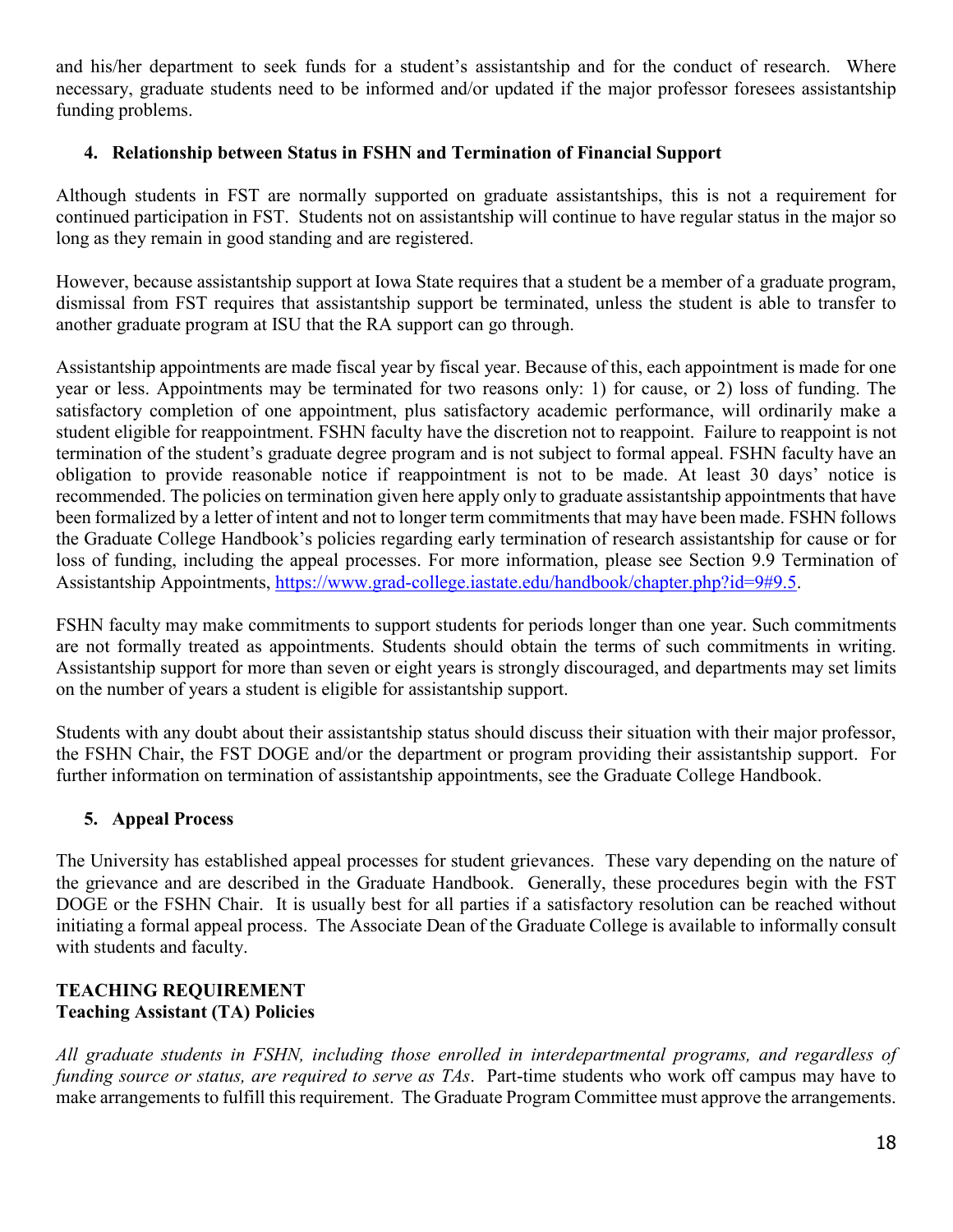and his/her department to seek funds for a student's assistantship and for the conduct of research. Where necessary, graduate students need to be informed and/or updated if the major professor foresees assistantship funding problems.

## **4. Relationship between Status in FSHN and Termination of Financial Support**

Although students in FST are normally supported on graduate assistantships, this is not a requirement for continued participation in FST. Students not on assistantship will continue to have regular status in the major so long as they remain in good standing and are registered.

However, because assistantship support at Iowa State requires that a student be a member of a graduate program, dismissal from FST requires that assistantship support be terminated, unless the student is able to transfer to another graduate program at ISU that the RA support can go through.

Assistantship appointments are made fiscal year by fiscal year. Because of this, each appointment is made for one year or less. Appointments may be terminated for two reasons only: 1) for cause, or 2) loss of funding. The satisfactory completion of one appointment, plus satisfactory academic performance, will ordinarily make a student eligible for reappointment. FSHN faculty have the discretion not to reappoint. Failure to reappoint is not termination of the student's graduate degree program and is not subject to formal appeal. FSHN faculty have an obligation to provide reasonable notice if reappointment is not to be made. At least 30 days' notice is recommended. The policies on termination given here apply only to graduate assistantship appointments that have been formalized by a letter of intent and not to longer term commitments that may have been made. FSHN follows the Graduate College Handbook's policies regarding early termination of research assistantship for cause or for loss of funding, including the appeal processes. For more information, please see Section 9.9 Termination of Assistantship Appointments, [https://www.grad-college.iastate.edu/handbook/chapter.php?id=9#9.5.](https://www.grad-college.iastate.edu/handbook/chapter.php?id=9#9.5)

FSHN faculty may make commitments to support students for periods longer than one year. Such commitments are not formally treated as appointments. Students should obtain the terms of such commitments in writing. Assistantship support for more than seven or eight years is strongly discouraged, and departments may set limits on the number of years a student is eligible for assistantship support.

Students with any doubt about their assistantship status should discuss their situation with their major professor, the FSHN Chair, the FST DOGE and/or the department or program providing their assistantship support. For further information on termination of assistantship appointments, see the Graduate College Handbook.

## **5. Appeal Process**

The University has established appeal processes for student grievances. These vary depending on the nature of the grievance and are described in the Graduate Handbook. Generally, these procedures begin with the FST DOGE or the FSHN Chair. It is usually best for all parties if a satisfactory resolution can be reached without initiating a formal appeal process. The Associate Dean of the Graduate College is available to informally consult with students and faculty.

#### <span id="page-19-0"></span>**TEACHING REQUIREMENT Teaching Assistant (TA) Policies**

*All graduate students in FSHN, including those enrolled in interdepartmental programs, and regardless of funding source or status, are required to serve as TAs*. Part-time students who work off campus may have to make arrangements to fulfill this requirement. The Graduate Program Committee must approve the arrangements.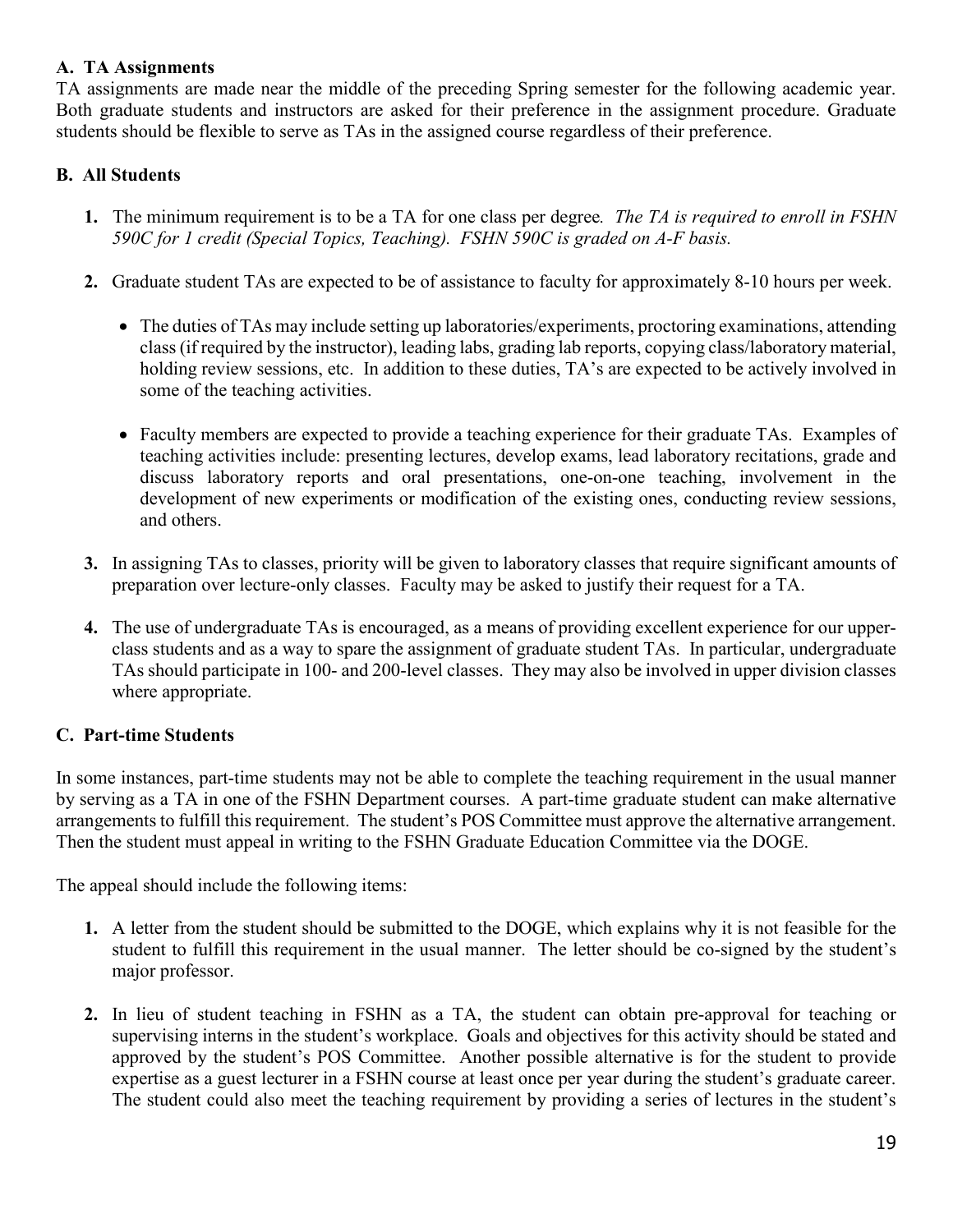## **A. TA Assignments**

TA assignments are made near the middle of the preceding Spring semester for the following academic year. Both graduate students and instructors are asked for their preference in the assignment procedure. Graduate students should be flexible to serve as TAs in the assigned course regardless of their preference.

## **B. All Students**

- **1.** The minimum requirement is to be a TA for one class per degree*. The TA is required to enroll in FSHN 590C for 1 credit (Special Topics, Teaching). FSHN 590C is graded on A-F basis.*
- **2.** Graduate student TAs are expected to be of assistance to faculty for approximately 8-10 hours per week.
	- The duties of TAs may include setting up laboratories/experiments, proctoring examinations, attending class (if required by the instructor), leading labs, grading lab reports, copying class/laboratory material, holding review sessions, etc. In addition to these duties, TA's are expected to be actively involved in some of the teaching activities.
	- Faculty members are expected to provide a teaching experience for their graduate TAs. Examples of teaching activities include: presenting lectures, develop exams, lead laboratory recitations, grade and discuss laboratory reports and oral presentations, one-on-one teaching, involvement in the development of new experiments or modification of the existing ones, conducting review sessions, and others.
- **3.** In assigning TAs to classes, priority will be given to laboratory classes that require significant amounts of preparation over lecture-only classes. Faculty may be asked to justify their request for a TA.
- **4.** The use of undergraduate TAs is encouraged, as a means of providing excellent experience for our upperclass students and as a way to spare the assignment of graduate student TAs. In particular, undergraduate TAs should participate in 100- and 200-level classes. They may also be involved in upper division classes where appropriate.

## **C. Part-time Students**

In some instances, part-time students may not be able to complete the teaching requirement in the usual manner by serving as a TA in one of the FSHN Department courses. A part-time graduate student can make alternative arrangements to fulfill this requirement. The student's POS Committee must approve the alternative arrangement. Then the student must appeal in writing to the FSHN Graduate Education Committee via the DOGE.

The appeal should include the following items:

- **1.** A letter from the student should be submitted to the DOGE, which explains why it is not feasible for the student to fulfill this requirement in the usual manner. The letter should be co-signed by the student's major professor.
- **2.** In lieu of student teaching in FSHN as a TA, the student can obtain pre-approval for teaching or supervising interns in the student's workplace. Goals and objectives for this activity should be stated and approved by the student's POS Committee. Another possible alternative is for the student to provide expertise as a guest lecturer in a FSHN course at least once per year during the student's graduate career. The student could also meet the teaching requirement by providing a series of lectures in the student's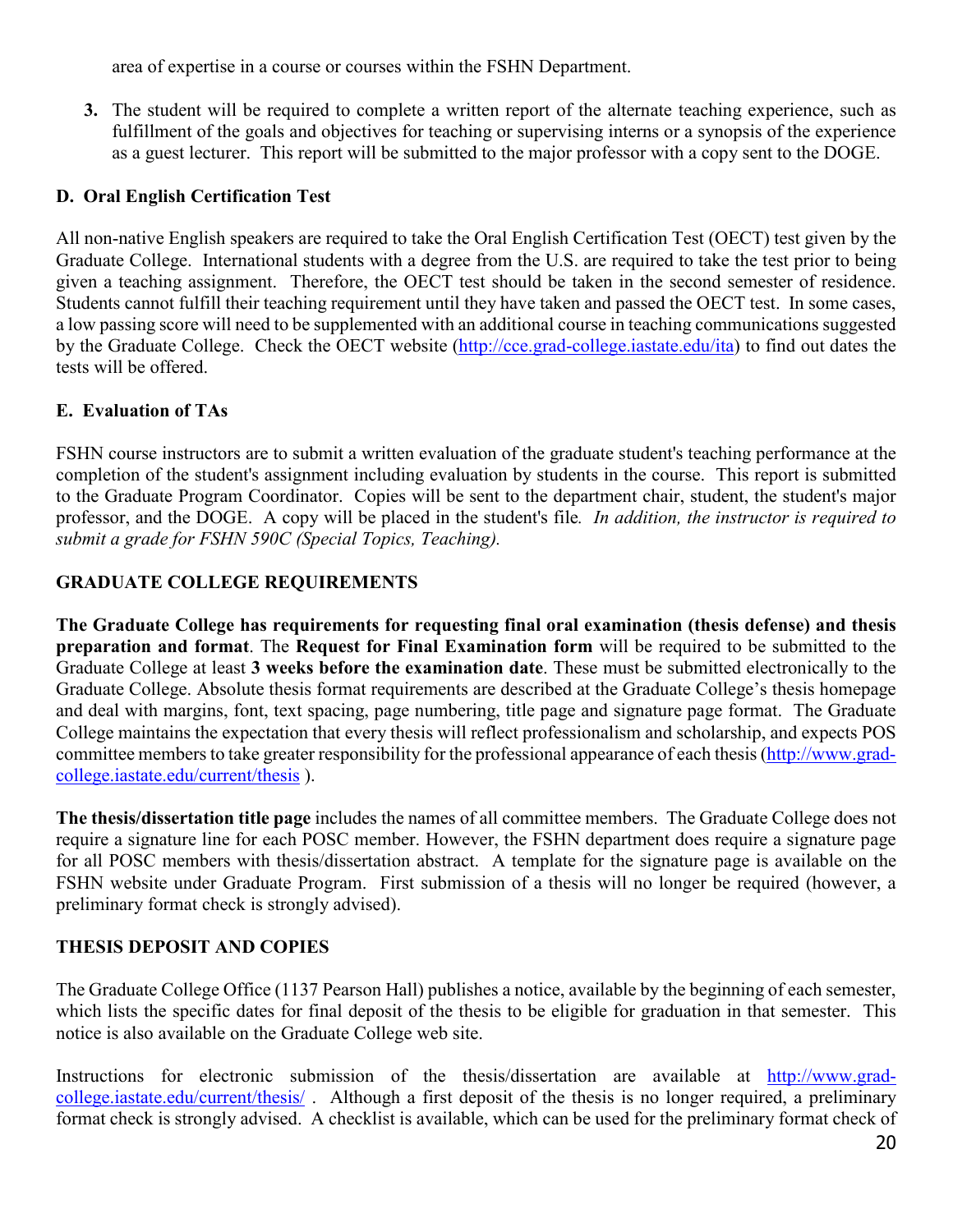area of expertise in a course or courses within the FSHN Department.

**3.** The student will be required to complete a written report of the alternate teaching experience, such as fulfillment of the goals and objectives for teaching or supervising interns or a synopsis of the experience as a guest lecturer. This report will be submitted to the major professor with a copy sent to the DOGE.

## **D. Oral English Certification Test**

All non-native English speakers are required to take the Oral English Certification Test (OECT) test given by the Graduate College. International students with a degree from the U.S. are required to take the test prior to being given a teaching assignment. Therefore, the OECT test should be taken in the second semester of residence. Students cannot fulfill their teaching requirement until they have taken and passed the OECT test. In some cases, a low passing score will need to be supplemented with an additional course in teaching communications suggested by the Graduate College. Check the OECT website [\(http://cce.grad-college.iastate.edu/ita\)](http://cce.grad-college.iastate.edu/ita) to find out dates the tests will be offered.

## **E. Evaluation of TAs**

FSHN course instructors are to submit a written evaluation of the graduate student's teaching performance at the completion of the student's assignment including evaluation by students in the course. This report is submitted to the Graduate Program Coordinator. Copies will be sent to the department chair, student, the student's major professor, and the DOGE. A copy will be placed in the student's file*. In addition, the instructor is required to submit a grade for FSHN 590C (Special Topics, Teaching).*

# <span id="page-21-0"></span>**GRADUATE COLLEGE REQUIREMENTS**

**The Graduate College has requirements for requesting final oral examination (thesis defense) and thesis preparation and format**. The **Request for Final Examination form** will be required to be submitted to the Graduate College at least **3 weeks before the examination date**. These must be submitted electronically to the Graduate College. Absolute thesis format requirements are described at the Graduate College's thesis homepage and deal with margins, font, text spacing, page numbering, title page and signature page format. The Graduate College maintains the expectation that every thesis will reflect professionalism and scholarship, and expects POS committee members to take greater responsibility for the professional appearance of each thesis[\(http://www.grad](http://www.grad-college.iastate.edu/current/thesis)[college.iastate.edu/current/thesis](http://www.grad-college.iastate.edu/current/thesis) ).

**The thesis/dissertation title page** includes the names of all committee members. The Graduate College does not require a signature line for each POSC member. However, the FSHN department does require a signature page for all POSC members with thesis/dissertation abstract. A template for the signature page is available on the FSHN website under Graduate Program. First submission of a thesis will no longer be required (however, a preliminary format check is strongly advised).

# <span id="page-21-1"></span>**THESIS DEPOSIT AND COPIES**

The Graduate College Office (1137 Pearson Hall) publishes a notice, available by the beginning of each semester, which lists the specific dates for final deposit of the thesis to be eligible for graduation in that semester. This notice is also available on the Graduate College web site.

Instructions for electronic submission of the thesis/dissertation are available at [http://www.grad](http://www.grad-college.iastate.edu/current/thesis/)[college.iastate.edu/current/thesis/](http://www.grad-college.iastate.edu/current/thesis/) . Although a first deposit of the thesis is no longer required, a preliminary format check is strongly advised. A checklist is available, which can be used for the preliminary format check of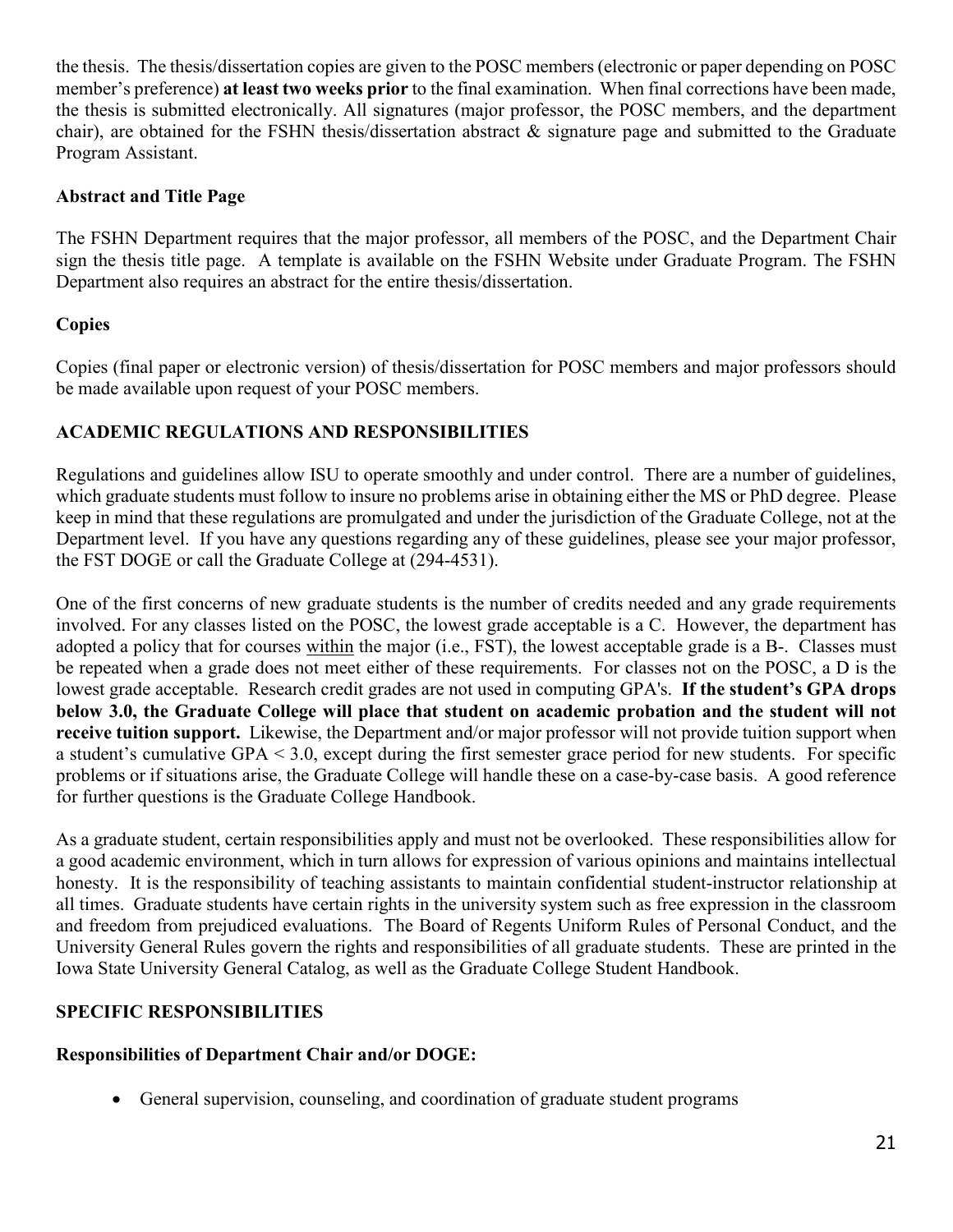the thesis. The thesis/dissertation copies are given to the POSC members (electronic or paper depending on POSC member's preference) **at least two weeks prior** to the final examination. When final corrections have been made, the thesis is submitted electronically. All signatures (major professor, the POSC members, and the department chair), are obtained for the FSHN thesis/dissertation abstract & signature page and submitted to the Graduate Program Assistant.

#### **Abstract and Title Page**

The FSHN Department requires that the major professor, all members of the POSC, and the Department Chair sign the thesis title page. A template is available on the FSHN Website under Graduate Program. The FSHN Department also requires an abstract for the entire thesis/dissertation.

## **Copies**

Copies (final paper or electronic version) of thesis/dissertation for POSC members and major professors should be made available upon request of your POSC members.

## <span id="page-22-0"></span>**ACADEMIC REGULATIONS AND RESPONSIBILITIES**

Regulations and guidelines allow ISU to operate smoothly and under control. There are a number of guidelines, which graduate students must follow to insure no problems arise in obtaining either the MS or PhD degree. Please keep in mind that these regulations are promulgated and under the jurisdiction of the Graduate College, not at the Department level. If you have any questions regarding any of these guidelines, please see your major professor, the FST DOGE or call the Graduate College at (294-4531).

One of the first concerns of new graduate students is the number of credits needed and any grade requirements involved. For any classes listed on the POSC, the lowest grade acceptable is a C. However, the department has adopted a policy that for courses within the major (i.e., FST), the lowest acceptable grade is a B-. Classes must be repeated when a grade does not meet either of these requirements. For classes not on the POSC, a D is the lowest grade acceptable. Research credit grades are not used in computing GPA's. **If the student's GPA drops below 3.0, the Graduate College will place that student on academic probation and the student will not receive tuition support.** Likewise, the Department and/or major professor will not provide tuition support when a student's cumulative GPA < 3.0, except during the first semester grace period for new students. For specific problems or if situations arise, the Graduate College will handle these on a case-by-case basis. A good reference for further questions is the Graduate College Handbook.

As a graduate student, certain responsibilities apply and must not be overlooked. These responsibilities allow for a good academic environment, which in turn allows for expression of various opinions and maintains intellectual honesty. It is the responsibility of teaching assistants to maintain confidential student-instructor relationship at all times. Graduate students have certain rights in the university system such as free expression in the classroom and freedom from prejudiced evaluations. The Board of Regents Uniform Rules of Personal Conduct, and the University General Rules govern the rights and responsibilities of all graduate students. These are printed in the Iowa State University General Catalog, as well as the Graduate College Student Handbook.

## <span id="page-22-1"></span>**SPECIFIC RESPONSIBILITIES**

## <span id="page-22-2"></span>**Responsibilities of Department Chair and/or DOGE:**

• General supervision, counseling, and coordination of graduate student programs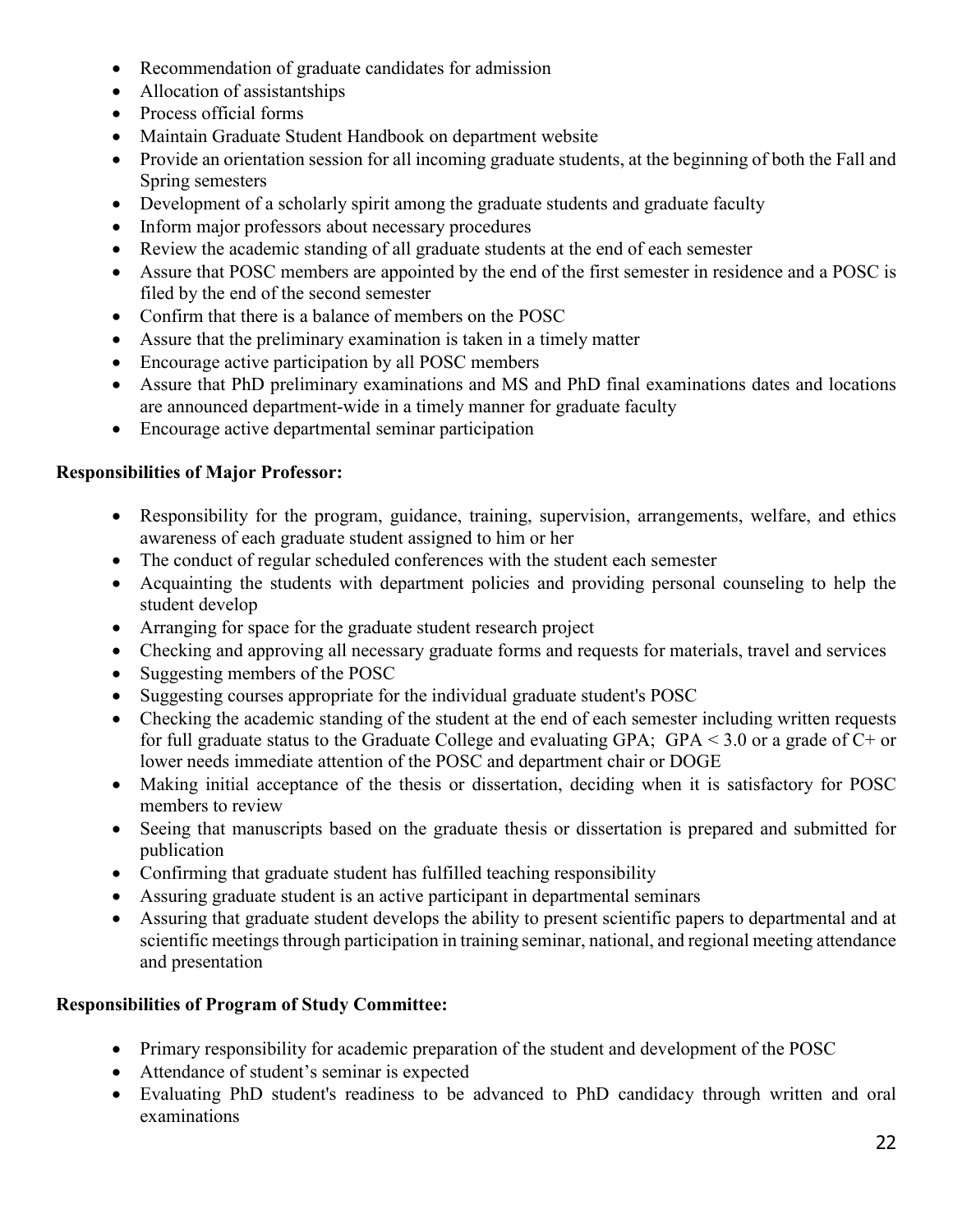- Recommendation of graduate candidates for admission
- Allocation of assistantships
- Process official forms
- Maintain Graduate Student Handbook on department website
- Provide an orientation session for all incoming graduate students, at the beginning of both the Fall and Spring semesters
- Development of a scholarly spirit among the graduate students and graduate faculty
- Inform major professors about necessary procedures
- Review the academic standing of all graduate students at the end of each semester
- Assure that POSC members are appointed by the end of the first semester in residence and a POSC is filed by the end of the second semester
- Confirm that there is a balance of members on the POSC
- Assure that the preliminary examination is taken in a timely matter
- Encourage active participation by all POSC members
- Assure that PhD preliminary examinations and MS and PhD final examinations dates and locations are announced department-wide in a timely manner for graduate faculty
- Encourage active departmental seminar participation

## <span id="page-23-0"></span>**Responsibilities of Major Professor:**

- Responsibility for the program, guidance, training, supervision, arrangements, welfare, and ethics awareness of each graduate student assigned to him or her
- The conduct of regular scheduled conferences with the student each semester
- Acquainting the students with department policies and providing personal counseling to help the student develop
- Arranging for space for the graduate student research project
- Checking and approving all necessary graduate forms and requests for materials, travel and services
- Suggesting members of the POSC
- Suggesting courses appropriate for the individual graduate student's POSC
- Checking the academic standing of the student at the end of each semester including written requests for full graduate status to the Graduate College and evaluating GPA; GPA < 3.0 or a grade of C+ or lower needs immediate attention of the POSC and department chair or DOGE
- Making initial acceptance of the thesis or dissertation, deciding when it is satisfactory for POSC members to review
- Seeing that manuscripts based on the graduate thesis or dissertation is prepared and submitted for publication
- Confirming that graduate student has fulfilled teaching responsibility
- Assuring graduate student is an active participant in departmental seminars
- Assuring that graduate student develops the ability to present scientific papers to departmental and at scientific meetings through participation in training seminar, national, and regional meeting attendance and presentation

## <span id="page-23-1"></span>**Responsibilities of Program of Study Committee:**

- Primary responsibility for academic preparation of the student and development of the POSC
- Attendance of student's seminar is expected
- Evaluating PhD student's readiness to be advanced to PhD candidacy through written and oral examinations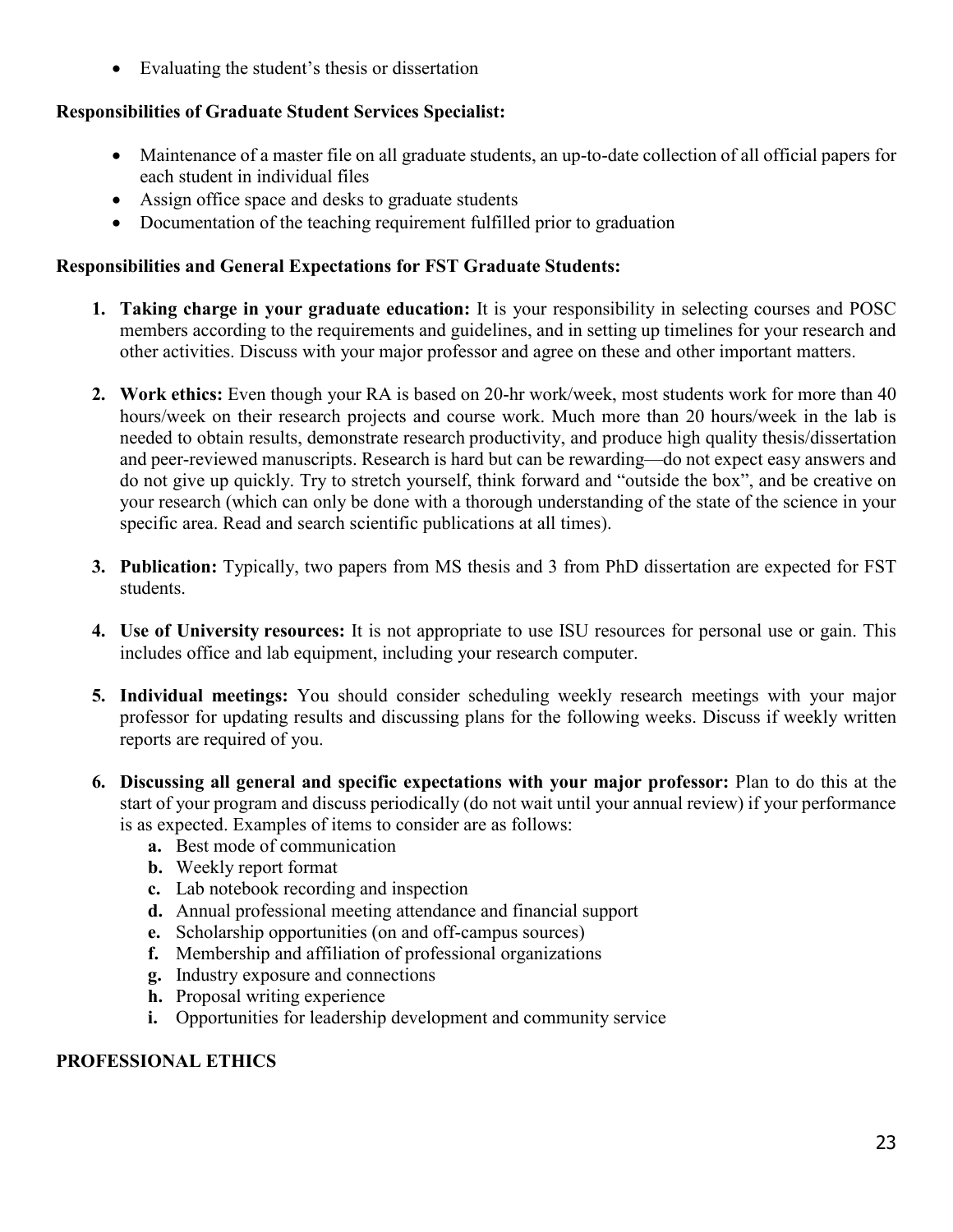• Evaluating the student's thesis or dissertation

## <span id="page-24-0"></span>**Responsibilities of Graduate Student Services Specialist:**

- Maintenance of a master file on all graduate students, an up-to-date collection of all official papers for each student in individual files
- Assign office space and desks to graduate students
- Documentation of the teaching requirement fulfilled prior to graduation

### <span id="page-24-1"></span>**Responsibilities and General Expectations for FST Graduate Students:**

- **1. Taking charge in your graduate education:** It is your responsibility in selecting courses and POSC members according to the requirements and guidelines, and in setting up timelines for your research and other activities. Discuss with your major professor and agree on these and other important matters.
- **2. Work ethics:** Even though your RA is based on 20-hr work/week, most students work for more than 40 hours/week on their research projects and course work. Much more than 20 hours/week in the lab is needed to obtain results, demonstrate research productivity, and produce high quality thesis/dissertation and peer-reviewed manuscripts. Research is hard but can be rewarding—do not expect easy answers and do not give up quickly. Try to stretch yourself, think forward and "outside the box", and be creative on your research (which can only be done with a thorough understanding of the state of the science in your specific area. Read and search scientific publications at all times).
- **3. Publication:** Typically, two papers from MS thesis and 3 from PhD dissertation are expected for FST students.
- **4. Use of University resources:** It is not appropriate to use ISU resources for personal use or gain. This includes office and lab equipment, including your research computer.
- **5. Individual meetings:** You should consider scheduling weekly research meetings with your major professor for updating results and discussing plans for the following weeks. Discuss if weekly written reports are required of you.
- **6. Discussing all general and specific expectations with your major professor:** Plan to do this at the start of your program and discuss periodically (do not wait until your annual review) if your performance is as expected. Examples of items to consider are as follows:
	- **a.** Best mode of communication
	- **b.** Weekly report format
	- **c.** Lab notebook recording and inspection
	- **d.** Annual professional meeting attendance and financial support
	- **e.** Scholarship opportunities (on and off-campus sources)
	- **f.** Membership and affiliation of professional organizations
	- **g.** Industry exposure and connections
	- **h.** Proposal writing experience
	- **i.** Opportunities for leadership development and community service

## <span id="page-24-2"></span>**PROFESSIONAL ETHICS**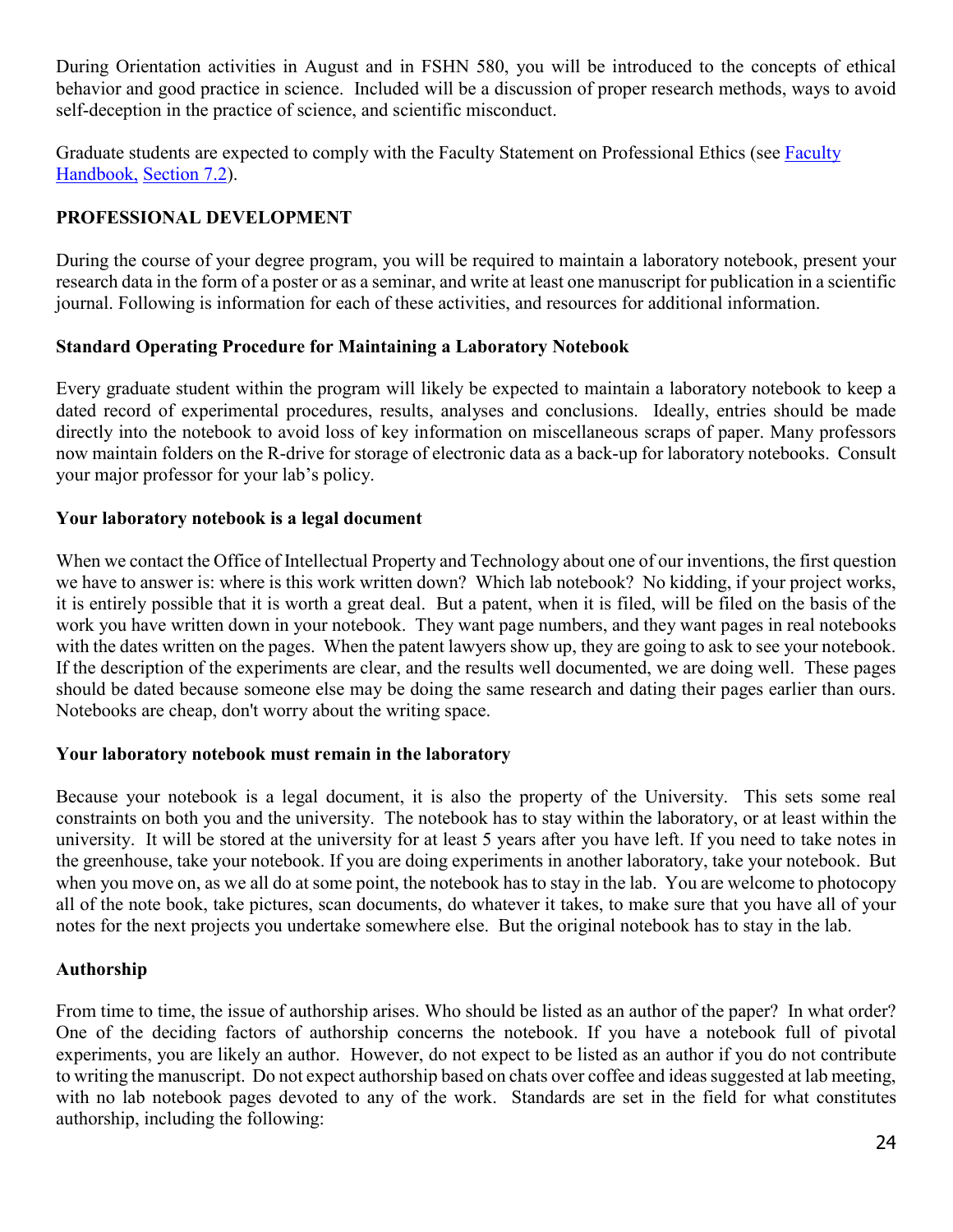During Orientation activities in August and in FSHN 580, you will be introduced to the concepts of ethical behavior and good practice in science. Included will be a discussion of proper research methods, ways to avoid self-deception in the practice of science, and scientific misconduct.

Graduate students are expected to comply with the Faculty Statement on Professional Ethics (see [Faculty](https://www.provost.iastate.edu/faculty-and-staff-resources/faculty-handbook)  [Handbook](https://www.provost.iastate.edu/faculty-and-staff-resources/faculty-handbook)[,](http://www.policy.iastate.edu/) [Section 7.2\)](https://www.provost.iastate.edu/sites/default/files/uploads/faculty%20resources/policies/Faculty%20Handbook%20-%20January%202018%20-%20final.pdf).

## <span id="page-25-0"></span>**PROFESSIONAL DEVELOPMENT**

During the course of your degree program, you will be required to maintain a laboratory notebook, present your research data in the form of a poster or as a seminar, and write at least one manuscript for publication in a scientific journal. Following is information for each of these activities, and resources for additional information.

## <span id="page-25-1"></span>**Standard Operating Procedure for Maintaining a Laboratory Notebook**

Every graduate student within the program will likely be expected to maintain a laboratory notebook to keep a dated record of experimental procedures, results, analyses and conclusions. Ideally, entries should be made directly into the notebook to avoid loss of key information on miscellaneous scraps of paper. Many professors now maintain folders on the R-drive for storage of electronic data as a back-up for laboratory notebooks. Consult your major professor for your lab's policy.

## **Your laboratory notebook is a legal document**

When we contact the Office of Intellectual Property and Technology about one of our inventions, the first question we have to answer is: where is this work written down? Which lab notebook? No kidding, if your project works, it is entirely possible that it is worth a great deal. But a patent, when it is filed, will be filed on the basis of the work you have written down in your notebook. They want page numbers, and they want pages in real notebooks with the dates written on the pages. When the patent lawyers show up, they are going to ask to see your notebook. If the description of the experiments are clear, and the results well documented, we are doing well. These pages should be dated because someone else may be doing the same research and dating their pages earlier than ours. Notebooks are cheap, don't worry about the writing space.

#### **Your laboratory notebook must remain in the laboratory**

Because your notebook is a legal document, it is also the property of the University. This sets some real constraints on both you and the university. The notebook has to stay within the laboratory, or at least within the university. It will be stored at the university for at least 5 years after you have left. If you need to take notes in the greenhouse, take your notebook. If you are doing experiments in another laboratory, take your notebook. But when you move on, as we all do at some point, the notebook has to stay in the lab. You are welcome to photocopy all of the note book, take pictures, scan documents, do whatever it takes, to make sure that you have all of your notes for the next projects you undertake somewhere else. But the original notebook has to stay in the lab.

## <span id="page-25-2"></span>**Authorship**

From time to time, the issue of authorship arises. Who should be listed as an author of the paper? In what order? One of the deciding factors of authorship concerns the notebook. If you have a notebook full of pivotal experiments, you are likely an author. However, do not expect to be listed as an author if you do not contribute to writing the manuscript. Do not expect authorship based on chats over coffee and ideas suggested at lab meeting, with no lab notebook pages devoted to any of the work. Standards are set in the field for what constitutes authorship, including the following: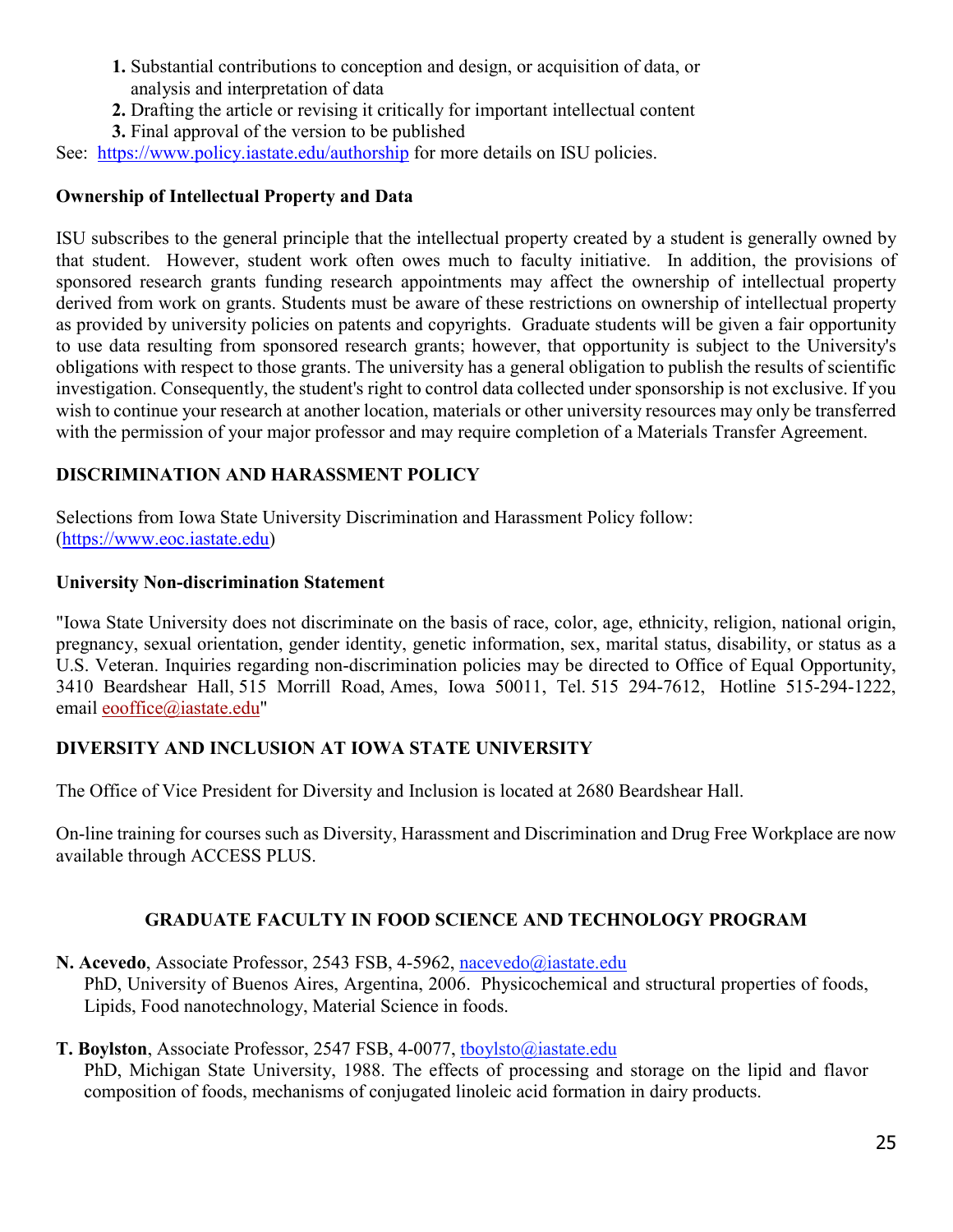- **1.** Substantial contributions to conception and design, or acquisition of data, or analysis and interpretation of data
- **2.** Drafting the article or revising it critically for important intellectual content
- **3.** Final approval of the version to be published

See: <https://www.policy.iastate.edu/authorship> for more details on ISU policies.

## <span id="page-26-0"></span>**Ownership of Intellectual Property and Data**

ISU subscribes to the general principle that the intellectual property created by a student is generally owned by that student. However, student work often owes much to faculty initiative. In addition, the provisions of sponsored research grants funding research appointments may affect the ownership of intellectual property derived from work on grants. Students must be aware of these restrictions on ownership of intellectual property as provided by university policies on patents and copyrights. Graduate students will be given a fair opportunity to use data resulting from sponsored research grants; however, that opportunity is subject to the University's obligations with respect to those grants. The university has a general obligation to publish the results of scientific investigation. Consequently, the student's right to control data collected under sponsorship is not exclusive. If you wish to continue your research at another location, materials or other university resources may only be transferred with the permission of your major professor and may require completion of a Materials Transfer Agreement.

# <span id="page-26-1"></span>**DISCRIMINATION AND HARASSMENT POLICY**

Selections from Iowa State University Discrimination and Harassment Policy follow: [\(https://www.eoc.iastate.edu\)](https://www.eoc.iastate.edu/)

## **University Non-discrimination Statement**

"Iowa State University does not discriminate on the basis of race, color, age, ethnicity, religion, national origin, pregnancy, sexual orientation, gender identity, genetic information, sex, marital status, disability, or status as a U.S. Veteran. Inquiries regarding non-discrimination policies may be directed to Office of Equal Opportunity, 3410 Beardshear Hall, 515 Morrill Road, Ames, Iowa 50011, Tel. 515 294-7612, Hotline 515-294-1222, email [eooffice@iastate.edu"](mailto:eooffice@mail.iastate.edu)

# <span id="page-26-2"></span>**DIVERSITY AND INCLUSION AT IOWA STATE UNIVERSITY**

The Office of Vice President for Diversity and Inclusion is located at 2680 Beardshear Hall.

On-line training for courses such as Diversity, Harassment and Discrimination and Drug Free Workplace are now available through ACCESS PLUS.

# **GRADUATE FACULTY IN FOOD SCIENCE AND TECHNOLOGY PROGRAM**

<span id="page-26-3"></span>**N. Acevedo**, Associate Professor, 2543 FSB, 4-5962, [nacevedo@iastate.edu](mailto:nacevedo@iastate.edu) PhD, University of Buenos Aires, Argentina, 2006. Physicochemical and structural properties of foods, Lipids, Food nanotechnology, Material Science in foods.

## **T. Boylston**, Associate Professor, 2547 FSB, 4-0077, [tboylsto@iastate.edu](mailto:tboylsto@iastate.edu)

PhD, Michigan State University, 1988. The effects of processing and storage on the lipid and flavor composition of foods, mechanisms of conjugated linoleic acid formation in dairy products.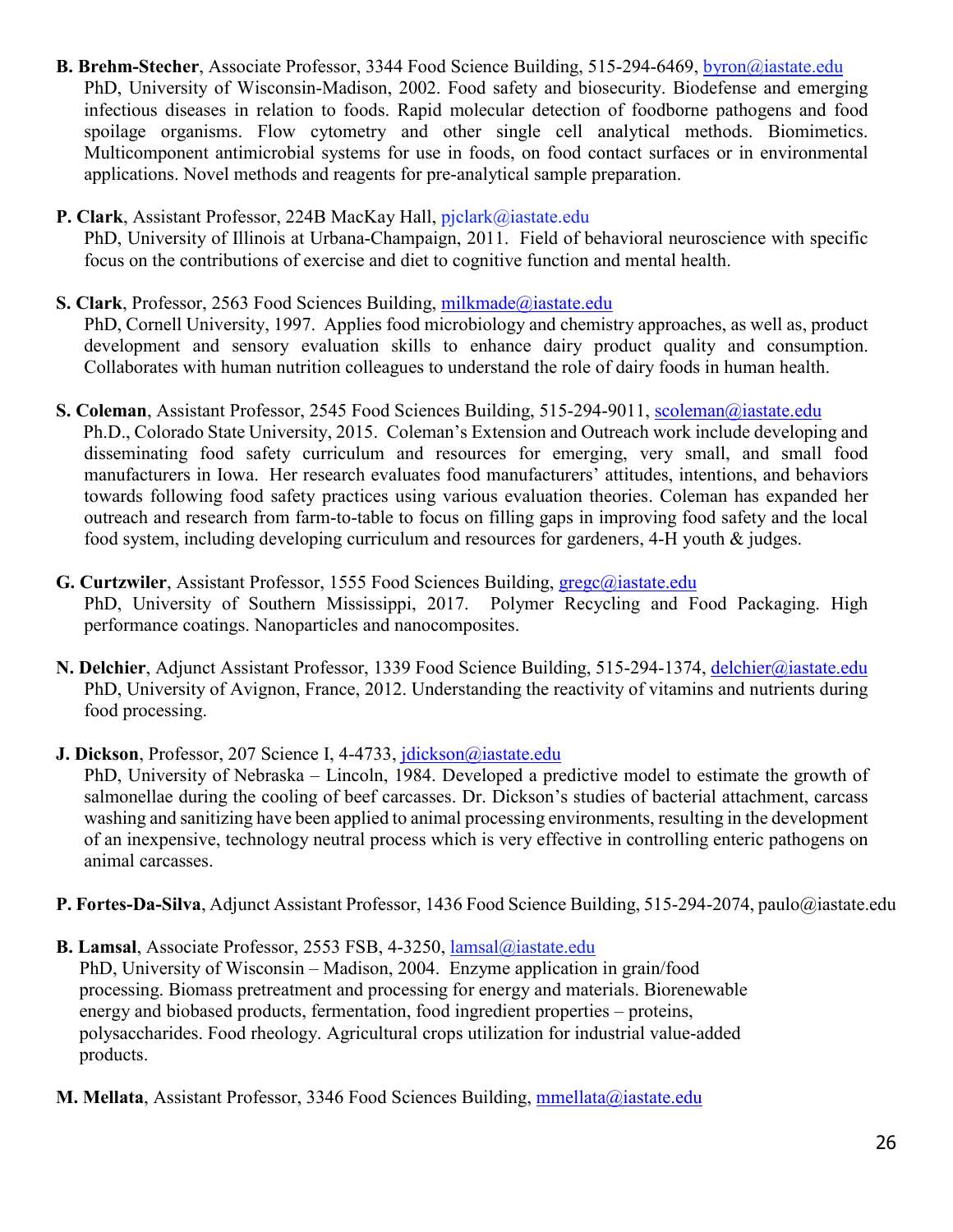- **B. Brehm-Stecher**, Associate Professor, 3344 Food Science Building, 515-294-6469, [byron@iastate.edu](mailto:byron@iastate.edu) PhD, University of Wisconsin-Madison, 2002. Food safety and biosecurity. Biodefense and emerging infectious diseases in relation to foods. Rapid molecular detection of foodborne pathogens and food spoilage organisms. Flow cytometry and other single cell analytical methods. Biomimetics. Multicomponent antimicrobial systems for use in foods, on food contact surfaces or in environmental applications. Novel methods and reagents for pre-analytical sample preparation.
- **P. Clark**, Assistant Professor, 224B MacKay Hall, pjclark@iastate.edu PhD, University of Illinois at Urbana-Champaign, 2011. Field of behavioral neuroscience with specific focus on the contributions of exercise and diet to cognitive function and mental health.
- **S. Clark**, Professor, 2563 Food Sciences Building, [milkmade@iastate.edu](mailto:milkmade@iastate.edu) PhD, Cornell University, 1997. Applies food microbiology and chemistry approaches, as well as, product development and sensory evaluation skills to enhance dairy product quality and consumption. Collaborates with human nutrition colleagues to understand the role of dairy foods in human health.
- **S. Coleman**, Assistant Professor, 2545 Food Sciences Building, 515-294-9011, [scoleman@iastate.edu](mailto:scoleman@iastate.edu) Ph.D., Colorado State University, 2015. Coleman's Extension and Outreach work include developing and disseminating food safety curriculum and resources for emerging, very small, and small food manufacturers in Iowa. Her research evaluates food manufacturers' attitudes, intentions, and behaviors towards following food safety practices using various evaluation theories. Coleman has expanded her outreach and research from farm-to-table to focus on filling gaps in improving food safety and the local food system, including developing curriculum and resources for gardeners, 4-H youth & judges.
- **G. Curtzwiler**, Assistant Professor, 1555 Food Sciences Building, [gregc@iastate.edu](mailto:gregc@iastate.edu) PhD, University of Southern Mississippi, 2017. Polymer Recycling and Food Packaging. High performance coatings. Nanoparticles and nanocomposites.
- **N. Delchier**, Adjunct Assistant Professor, 1339 Food Science Building, 515-294-1374, [delchier@iastate.edu](mailto:delchier@iastate.edu) PhD, University of Avignon, France, 2012. Understanding the reactivity of vitamins and nutrients during food processing.

**J. Dickson**, Professor, 207 Science I, 4-4733, [jdickson@iastate.edu](mailto:jdickson@iastate.edu) PhD, University of Nebraska – Lincoln, 1984. Developed a predictive model to estimate the growth of salmonellae during the cooling of beef carcasses. Dr. Dickson's studies of bacterial attachment, carcass washing and sanitizing have been applied to animal processing environments, resulting in the development of an inexpensive, technology neutral process which is very effective in controlling enteric pathogens on

animal carcasses.

**P. Fortes-Da-Silva**, Adjunct Assistant Professor, 1436 Food Science Building, 515-294-2074, paulo@iastate.edu

**B. Lamsal**, Associate Professor, 2553 FSB, 4-3250, lamsal@iastate.edu PhD, University of Wisconsin – Madison, 2004. Enzyme application in grain/food processing. Biomass pretreatment and processing for energy and materials. Biorenewable energy and biobased products, fermentation, food ingredient properties – proteins, polysaccharides. Food rheology. Agricultural crops utilization for industrial value-added products.

**M. Mellata**, Assistant Professor, 3346 Food Sciences Building, [mmellata@iastate.edu](mailto:mmellata@iastate.edu)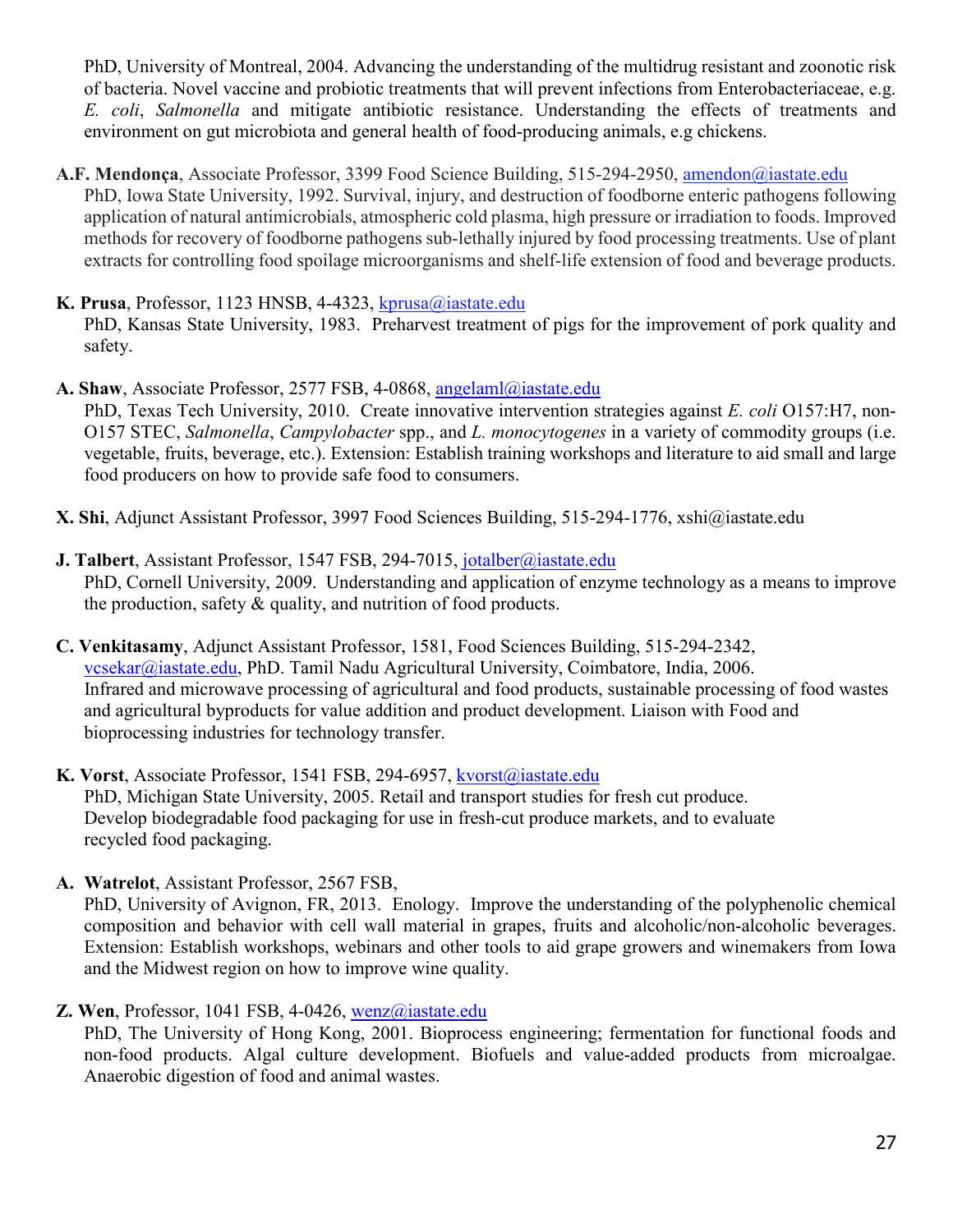PhD, University of Montreal, 2004. Advancing the understanding of the multidrug resistant and zoonotic risk of bacteria. Novel vaccine and probiotic treatments that will prevent infections from Enterobacteriaceae, e.g. *E. coli*, *Salmonella* and mitigate antibiotic resistance. Understanding the effects of treatments and environment on gut microbiota and general health of food-producing animals, e.g chickens.

- **A.F. Mendonça**, Associate Professor, 3399 Food Science Building, 515-294-2950, [amendon@iastate.edu](mailto:amendon@iastate.edu) PhD, Iowa State University, 1992. Survival, injury, and destruction of foodborne enteric pathogens following application of natural antimicrobials, atmospheric cold plasma, high pressure or irradiation to foods. Improved methods for recovery of foodborne pathogens sub-lethally injured by food processing treatments. Use of plant extracts for controlling food spoilage microorganisms and shelf-life extension of food and beverage products.
- **K. Prusa**, Professor, 1123 HNSB, 4-4323, [kprusa@iastate.edu](mailto:kprusa@iastate.edu) PhD, Kansas State University, 1983. Preharvest treatment of pigs for the improvement of pork quality and safety.
- **A. Shaw**, Associate Professor, 2577 FSB, 4-0868, [angelaml@iastate.edu](mailto:angelaml@iastate.edu) PhD, Texas Tech University, 2010. Create innovative intervention strategies against *E. coli* O157:H7, non-O157 STEC, *Salmonella*, *Campylobacter* spp., and *L. monocytogenes* in a variety of commodity groups (i.e. vegetable, fruits, beverage, etc.). Extension: Establish training workshops and literature to aid small and large food producers on how to provide safe food to consumers.

**X. Shi**, Adjunct Assistant Professor, 3997 Food Sciences Building, 515-294-1776, xshi@iastate.edu

- **J. Talbert**, Assistant Professor, 1547 FSB, 294-7015, [jotalber@iastate.edu](mailto:jotalber@iastate.edu)  PhD, Cornell University, 2009. Understanding and application of enzyme technology as a means to improve the production, safety & quality, and nutrition of food products.
- **C. Venkitasamy**, Adjunct Assistant Professor, 1581, Food Sciences Building, 515-294-2342, [vcsekar@iastate.edu,](mailto:vcsekar@iastate.edu) PhD. Tamil Nadu Agricultural University, Coimbatore, India, 2006. Infrared and microwave processing of agricultural and food products, sustainable processing of food wastes and agricultural byproducts for value addition and product development. Liaison with Food and bioprocessing industries for technology transfer.
- **K. Vorst**, Associate Professor, 1541 FSB, 294-6957, [kvorst@iastate.edu](mailto:kvorst@iastate.edu) PhD, Michigan State University, 2005. Retail and transport studies for fresh cut produce. Develop biodegradable food packaging for use in fresh-cut produce markets, and to evaluate recycled food packaging.
- **A. Watrelot**, Assistant Professor, 2567 FSB,

PhD, University of Avignon, FR, 2013. Enology. Improve the understanding of the polyphenolic chemical composition and behavior with cell wall material in grapes, fruits and alcoholic/non-alcoholic beverages. Extension: Establish workshops, webinars and other tools to aid grape growers and winemakers from Iowa and the Midwest region on how to improve wine quality.

**Z. Wen**, Professor, 1041 FSB, 4-0426, [wenz@iastate.edu](mailto:wenz@iastate.edu) 

PhD, The University of Hong Kong, 2001. Bioprocess engineering; fermentation for functional foods and non-food products. Algal culture development. Biofuels and value-added products from microalgae. Anaerobic digestion of food and animal wastes.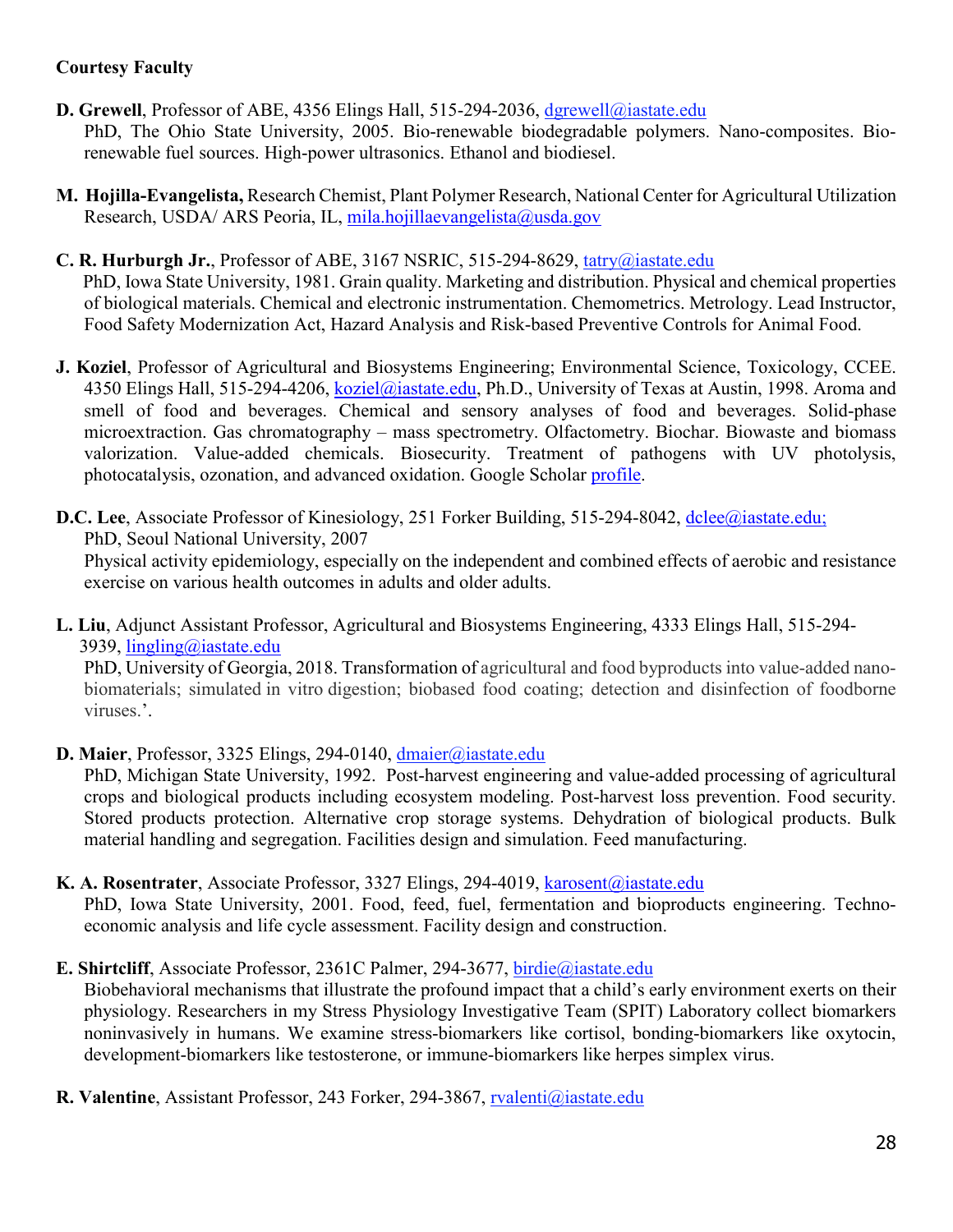## **Courtesy Faculty**

- **D. Grewell**, Professor of ABE, 4356 Elings Hall, 515-294-2036, dgrewell@iastate.edu PhD, The Ohio State University, 2005. Bio-renewable biodegradable polymers. Nano-composites. Biorenewable fuel sources. High-power ultrasonics. Ethanol and biodiesel.
- **M. Hojilla-Evangelista,** Research Chemist, Plant Polymer Research, National Center for Agricultural Utilization Research, USDA/ ARS Peoria, IL, [mila.hojillaevangelista@usda.gov](mailto:mila.hojillaevangelista@usda.gov)

#### **C. R. Hurburgh Jr.**, Professor of ABE, 3167 NSRIC, 515-294-8629, [tatry@iastate.edu](mailto:tatry@iastate.edu)

PhD, Iowa State University, 1981. Grain quality. Marketing and distribution. Physical and chemical properties of biological materials. Chemical and electronic instrumentation. Chemometrics. Metrology. Lead Instructor, Food Safety Modernization Act, Hazard Analysis and Risk-based Preventive Controls for Animal Food.

**J. Koziel**, Professor of Agricultural and Biosystems Engineering; Environmental Science, Toxicology, CCEE. 4350 Elings Hall, 515-294-4206, [koziel@iastate.edu,](mailto:koziel@iastate.edu) Ph.D., University of Texas at Austin, 1998. Aroma and smell of food and beverages. Chemical and sensory analyses of food and beverages. Solid-phase microextraction. Gas chromatography – mass spectrometry. Olfactometry. Biochar. Biowaste and biomass valorization. Value-added chemicals. Biosecurity. Treatment of pathogens with UV photolysis, photocatalysis, ozonation, and advanced oxidation. Google Scholar [profile.](https://scholar.google.com/citations?hl=en&user=rDTT2DgAAAAJ)

**D.C.** Lee, Associate Professor of Kinesiology, 251 Forker Building, 515-294-8042, [dclee@iastate.edu;](mailto:dclee@iastate.edu) PhD, Seoul National University, 2007 Physical activity epidemiology, especially on the independent and combined effects of aerobic and resistance exercise on various health outcomes in adults and older adults.

**L. Liu**, Adjunct Assistant Professor, Agricultural and Biosystems Engineering, 4333 Elings Hall, 515-294- 3939, [lingling@iastate.edu](mailto:lingling@iastate.edu)

PhD, University of Georgia, 2018. Transformation of agricultural and food byproducts into value-added nanobiomaterials; simulated in vitro digestion; biobased food coating; detection and disinfection of foodborne viruses.'.

**D. Maier**, Professor, 3325 Elings, 294-0140, dmaier@iastate.edu

PhD, Michigan State University, 1992. Post-harvest engineering and value-added processing of agricultural crops and biological products including ecosystem modeling. Post-harvest loss prevention. Food security. Stored products protection. Alternative crop storage systems. Dehydration of biological products. Bulk material handling and segregation. Facilities design and simulation. Feed manufacturing.

**K. A. Rosentrater**, Associate Professor, 3327 Elings, 294-4019, [karosent@iastate.edu](mailto:karosent@iastate.edu)

PhD, Iowa State University, 2001. Food, feed, fuel, fermentation and bioproducts engineering. Technoeconomic analysis and life cycle assessment. Facility design and construction.

**E. Shirtcliff**, Associate Professor, 2361C Palmer, 294-3677, birdie@iastate.edu

Biobehavioral mechanisms that illustrate the profound impact that a child's early environment exerts on their physiology. Researchers in my Stress Physiology Investigative Team (SPIT) Laboratory collect biomarkers noninvasively in humans. We examine stress-biomarkers like cortisol, bonding-biomarkers like oxytocin, development-biomarkers like testosterone, or immune-biomarkers like herpes simplex virus.

**R. Valentine**, Assistant Professor, 243 Forker, 294-3867, rvalenti@iastate.edu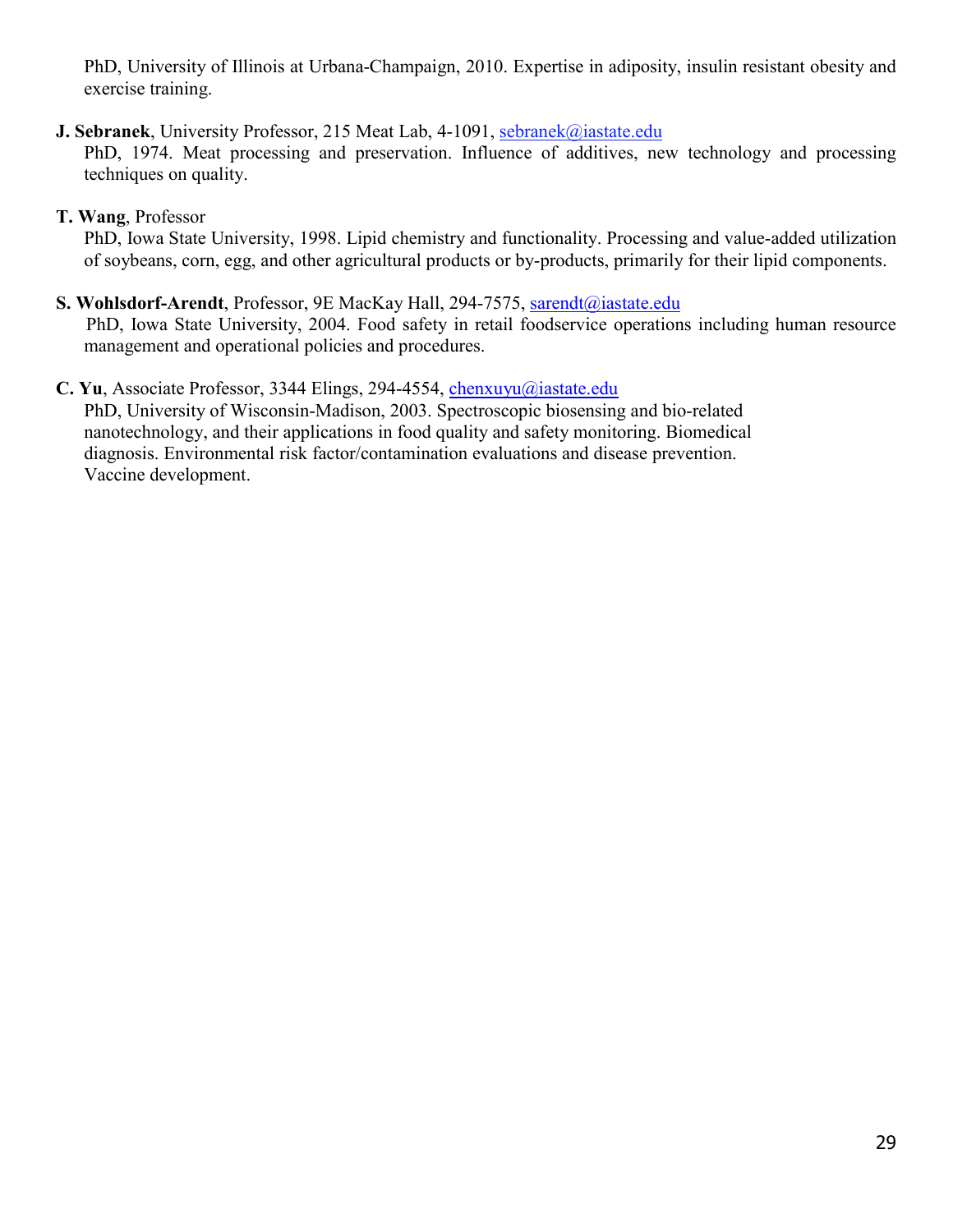PhD, University of Illinois at Urbana-Champaign, 2010. Expertise in adiposity, insulin resistant obesity and exercise training.

- **J. Sebranek**, University Professor, 215 Meat Lab, 4-1091, sebranek@iastate.edu PhD, 1974. Meat processing and preservation. Influence of additives, new technology and processing techniques on quality.
- **T. Wang**, Professor

PhD, Iowa State University, 1998. Lipid chemistry and functionality. Processing and value-added utilization of soybeans, corn, egg, and other agricultural products or by-products, primarily for their lipid components.

- **S. Wohlsdorf-Arendt**, Professor, 9E MacKay Hall, 294-7575, [sarendt@iastate.edu](mailto:sarendt@iastate.edu) PhD, Iowa State University, 2004. Food safety in retail foodservice operations including human resource management and operational policies and procedures.
- <span id="page-30-0"></span>**C. Yu**, Associate Professor, 3344 Elings, 294-4554, [chenxuyu@iastate.edu](mailto:chenxuyu@iastate.edu) PhD, University of Wisconsin-Madison, 2003. Spectroscopic biosensing and bio-related nanotechnology, and their applications in food quality and safety monitoring. Biomedical diagnosis. Environmental risk factor/contamination evaluations and disease prevention. Vaccine development.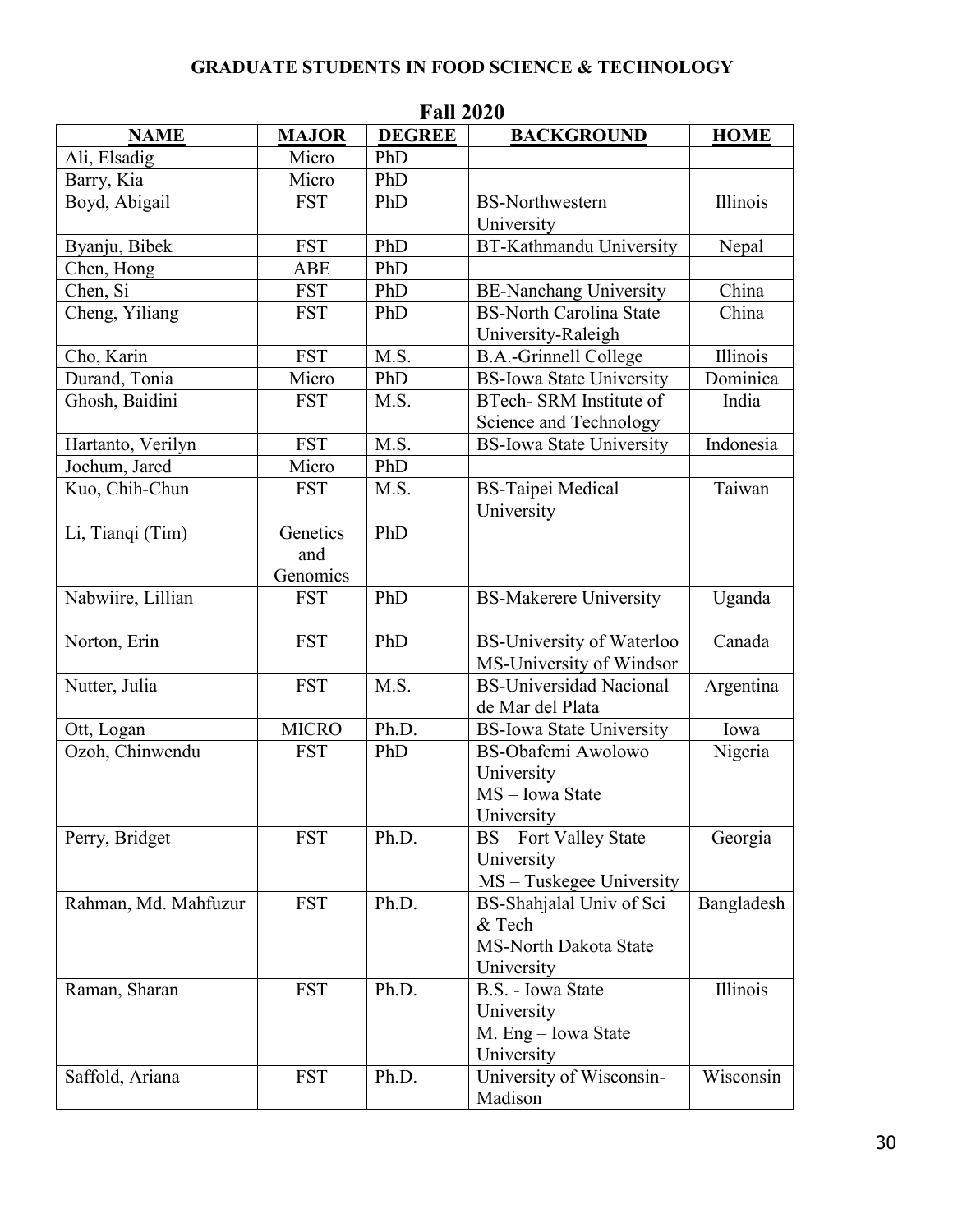# **GRADUATE STUDENTS IN FOOD SCIENCE & TECHNOLOGY**

| Fail 2020            |              |               |                                  |             |
|----------------------|--------------|---------------|----------------------------------|-------------|
| <b>NAME</b>          | <b>MAJOR</b> | <b>DEGREE</b> | <b>BACKGROUND</b>                | <b>HOME</b> |
| Ali, Elsadig         | Micro        | PhD           |                                  |             |
| Barry, Kia           | Micro        | PhD           |                                  |             |
| Boyd, Abigail        | <b>FST</b>   | PhD           | <b>BS-Northwestern</b>           | Illinois    |
|                      |              |               | University                       |             |
| Byanju, Bibek        | <b>FST</b>   | PhD           | <b>BT-Kathmandu University</b>   | Nepal       |
| Chen, Hong           | <b>ABE</b>   | PhD           |                                  |             |
| Chen, Si             | <b>FST</b>   | PhD           | <b>BE-Nanchang University</b>    | China       |
| Cheng, Yiliang       | <b>FST</b>   | PhD           | <b>BS-North Carolina State</b>   | China       |
|                      |              |               | University-Raleigh               |             |
| Cho, Karin           | <b>FST</b>   | M.S.          | <b>B.A.-Grinnell College</b>     | Illinois    |
| Durand, Tonia        | Micro        | PhD           | <b>BS-Iowa State University</b>  | Dominica    |
| Ghosh, Baidini       | <b>FST</b>   | M.S.          | BTech- SRM Institute of          | India       |
|                      |              |               | Science and Technology           |             |
| Hartanto, Verilyn    | <b>FST</b>   | M.S.          | <b>BS-Iowa State University</b>  | Indonesia   |
| Jochum, Jared        | Micro        | PhD           |                                  |             |
| Kuo, Chih-Chun       | <b>FST</b>   | M.S.          | <b>BS-Taipei Medical</b>         | Taiwan      |
|                      |              |               | University                       |             |
| Li, Tianqi (Tim)     | Genetics     | PhD           |                                  |             |
|                      | and          |               |                                  |             |
|                      | Genomics     |               |                                  |             |
| Nabwiire, Lillian    | <b>FST</b>   | PhD           | <b>BS-Makerere University</b>    | Uganda      |
|                      |              |               |                                  |             |
| Norton, Erin         | <b>FST</b>   | PhD           | <b>BS-University of Waterloo</b> | Canada      |
|                      |              |               | MS-University of Windsor         |             |
| Nutter, Julia        | <b>FST</b>   | M.S.          | <b>BS-Universidad Nacional</b>   | Argentina   |
|                      |              |               | de Mar del Plata                 |             |
| Ott, Logan           | <b>MICRO</b> | Ph.D.         | <b>BS-Iowa State University</b>  | Iowa        |
| Ozoh, Chinwendu      | <b>FST</b>   | PhD           | BS-Obafemi Awolowo               | Nigeria     |
|                      |              |               | University                       |             |
|                      |              |               | MS - Iowa State                  |             |
|                      |              |               | University                       |             |
| Perry, Bridget       | <b>FST</b>   | Ph.D.         | <b>BS</b> – Fort Valley State    | Georgia     |
|                      |              |               | University                       |             |
|                      |              |               | MS - Tuskegee University         |             |
| Rahman, Md. Mahfuzur | <b>FST</b>   | Ph.D.         | BS-Shahjalal Univ of Sci         | Bangladesh  |
|                      |              |               | & Tech                           |             |
|                      |              |               | <b>MS-North Dakota State</b>     |             |
|                      |              |               | University                       |             |
| Raman, Sharan        | <b>FST</b>   | Ph.D.         | B.S. - Iowa State                | Illinois    |
|                      |              |               | University                       |             |
|                      |              |               | M. Eng - Iowa State              |             |
|                      |              |               | University                       |             |
| Saffold, Ariana      | <b>FST</b>   | Ph.D.         | University of Wisconsin-         | Wisconsin   |
|                      |              |               | Madison                          |             |

**Fall 2020**